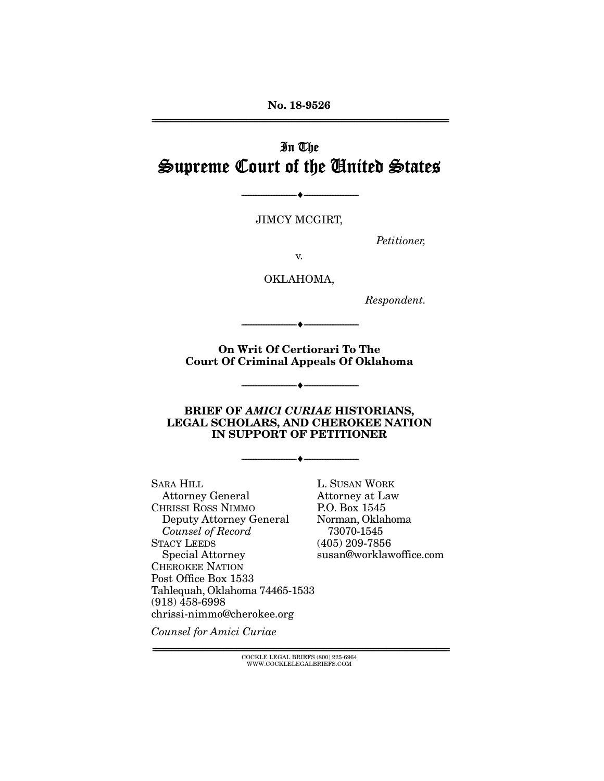No. 18-9526 ================================================================================================================

# In The Supreme Court of the United States

JIMCY MCGIRT,

--------------------------------- ---------------------------------

*Petitioner,* 

v.

OKLAHOMA,

*Respondent.* 

On Writ Of Certiorari To The Court Of Criminal Appeals Of Oklahoma

--------------------------------- ---------------------------------

--------------------------------- ---------------------------------

#### BRIEF OF *AMICI CURIAE* HISTORIANS, LEGAL SCHOLARS, AND CHEROKEE NATION IN SUPPORT OF PETITIONER

--------------------------------- ---------------------------------

SARA HILL Attorney General CHRISSI ROSS NIMMO Deputy Attorney General *Counsel of Record* STACY LEEDS Special Attorney CHEROKEE NATION Post Office Box 1533 Tahlequah, Oklahoma 74465-1533 (918) 458-6998 chrissi-nimmo@cherokee.org

L. SUSAN WORK Attorney at Law P.O. Box 1545 Norman, Oklahoma 73070-1545 (405) 209-7856 susan@worklawoffice.com

*Counsel for Amici Curiae* 

 ${COCKLE}$  LEGAL BRIEFS (800) 225-6964 WWW.COCKLELEGALBRIEFS.COM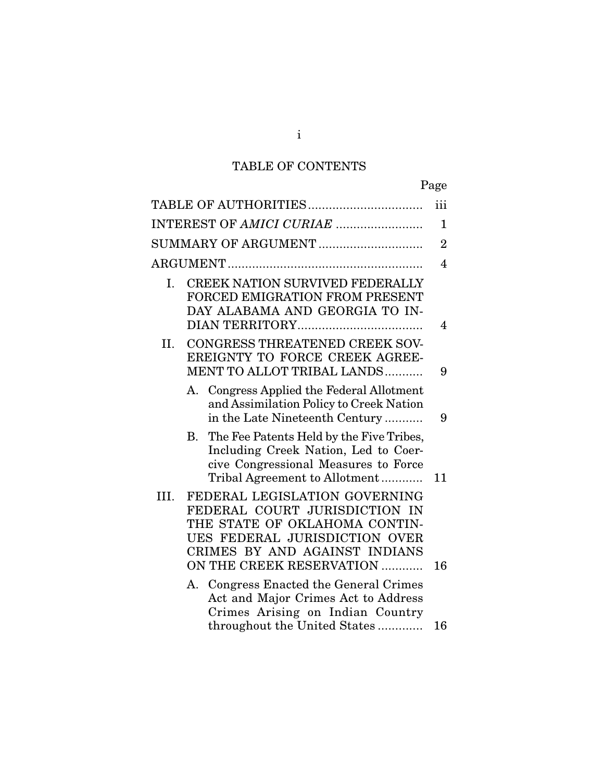# TABLE OF CONTENTS

|                                                                                                                                                                                                       | Page           |
|-------------------------------------------------------------------------------------------------------------------------------------------------------------------------------------------------------|----------------|
|                                                                                                                                                                                                       | iii            |
| INTEREST OF AMICI CURIAE                                                                                                                                                                              | 1              |
| SUMMARY OF ARGUMENT                                                                                                                                                                                   | $\overline{2}$ |
|                                                                                                                                                                                                       | $\overline{4}$ |
| CREEK NATION SURVIVED FEDERALLY<br>Ι.<br>FORCED EMIGRATION FROM PRESENT<br>DAY ALABAMA AND GEORGIA TO IN-                                                                                             | $\overline{4}$ |
| CONGRESS THREATENED CREEK SOV-<br>Н.<br>EREIGNTY TO FORCE CREEK AGREE-<br>MENT TO ALLOT TRIBAL LANDS                                                                                                  | 9              |
| A. Congress Applied the Federal Allotment<br>and Assimilation Policy to Creek Nation<br>in the Late Nineteenth Century                                                                                | 9              |
| The Fee Patents Held by the Five Tribes,<br>В.<br>Including Creek Nation, Led to Coer-<br>cive Congressional Measures to Force<br>Tribal Agreement to Allotment                                       | 11             |
| FEDERAL LEGISLATION GOVERNING<br>III.<br>FEDERAL COURT JURISDICTION IN<br>THE STATE OF OKLAHOMA CONTIN-<br>UES FEDERAL JURISDICTION OVER<br>CRIMES BY AND AGAINST INDIANS<br>ON THE CREEK RESERVATION | 16             |
| A. Congress Enacted the General Crimes<br>Act and Major Crimes Act to Address<br>Crimes Arising on Indian Country                                                                                     |                |
| throughout the United States                                                                                                                                                                          | 16             |

i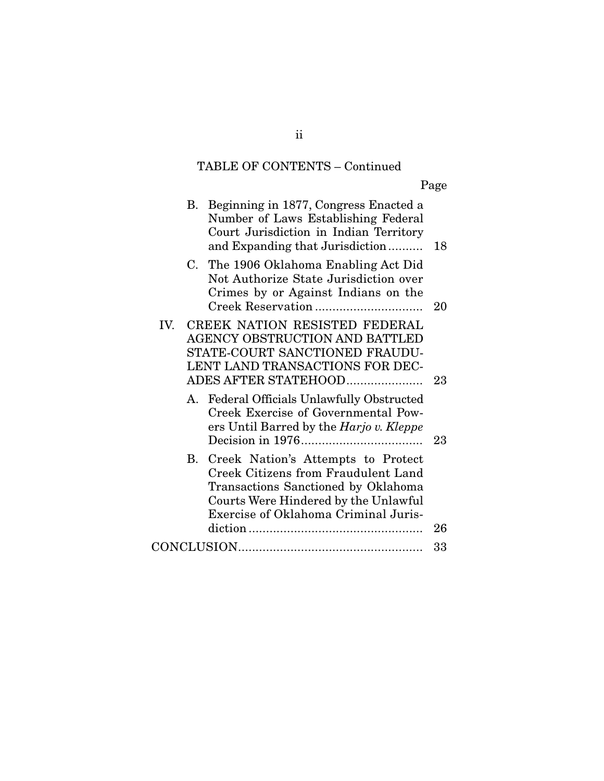# TABLE OF CONTENTS – Continued

Page

|     | В. | Beginning in 1877, Congress Enacted a<br>Number of Laws Establishing Federal<br>Court Jurisdiction in Indian Territory<br>and Expanding that Jurisdiction                                               | 18 |
|-----|----|---------------------------------------------------------------------------------------------------------------------------------------------------------------------------------------------------------|----|
|     |    | C. The 1906 Oklahoma Enabling Act Did<br>Not Authorize State Jurisdiction over<br>Crimes by or Against Indians on the                                                                                   | 20 |
| IV. |    | CREEK NATION RESISTED FEDERAL<br>AGENCY OBSTRUCTION AND BATTLED<br>STATE-COURT SANCTIONED FRAUDU-<br>LENT LAND TRANSACTIONS FOR DEC-<br>ADES AFTER STATEHOOD                                            | 23 |
|     | A. | Federal Officials Unlawfully Obstructed<br>Creek Exercise of Governmental Pow-<br>ers Until Barred by the Harjo v. Kleppe                                                                               | 23 |
|     | B. | Creek Nation's Attempts to Protect<br><b>Creek Citizens from Fraudulent Land</b><br>Transactions Sanctioned by Oklahoma<br>Courts Were Hindered by the Unlawful<br>Exercise of Oklahoma Criminal Juris- | 26 |
|     |    |                                                                                                                                                                                                         | 33 |
|     |    |                                                                                                                                                                                                         |    |

ii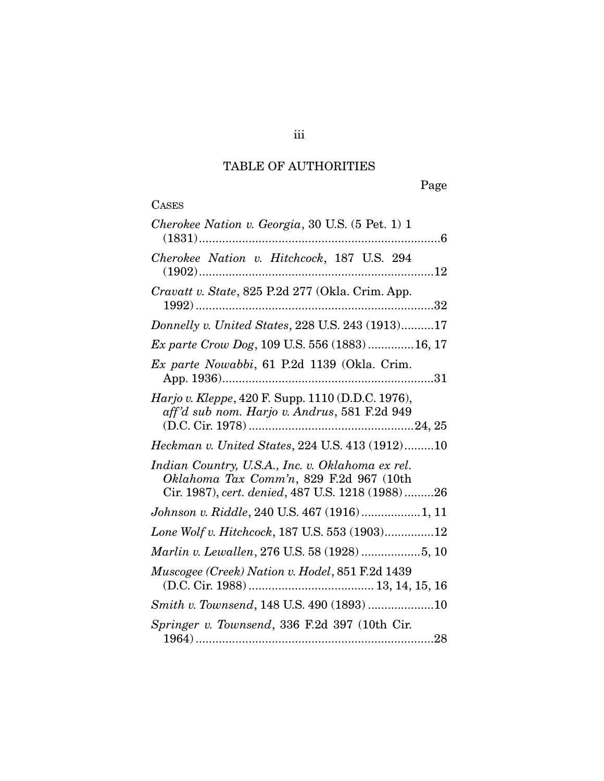# TABLE OF AUTHORITIES

| Cherokee Nation v. Georgia, 30 U.S. (5 Pet. 1) 1                                                                                                |
|-------------------------------------------------------------------------------------------------------------------------------------------------|
| Cherokee Nation v. Hitchcock, 187 U.S. 294                                                                                                      |
| Cravatt v. State, 825 P.2d 277 (Okla. Crim. App.                                                                                                |
| Donnelly v. United States, 228 U.S. 243 (1913)17                                                                                                |
| Ex parte Crow Dog, 109 U.S. 556 (1883) 16, 17                                                                                                   |
| Ex parte Nowabbi, 61 P.2d 1139 (Okla. Crim.                                                                                                     |
| Harjo v. Kleppe, 420 F. Supp. 1110 (D.D.C. 1976),<br>aff'd sub nom. Harjo v. Andrus, 581 F.2d 949                                               |
| Heckman v. United States, 224 U.S. 413 (1912)10                                                                                                 |
| Indian Country, U.S.A., Inc. v. Oklahoma ex rel.<br>Oklahoma Tax Comm'n, 829 F.2d 967 (10th<br>Cir. 1987), cert. denied, 487 U.S. 1218 (1988)26 |
| Johnson v. Riddle, 240 U.S. 467 (1916)1, 11                                                                                                     |
| Lone Wolf v. Hitchcock, 187 U.S. 553 (1903)12                                                                                                   |
| Marlin v. Lewallen, 276 U.S. 58 (1928) 5, 10                                                                                                    |
| Muscogee (Creek) Nation v. Hodel, 851 F.2d 1439                                                                                                 |
| Smith v. Townsend, 148 U.S. 490 (1893) 10                                                                                                       |
| Springer v. Townsend, 336 F.2d 397 (10th Cir.                                                                                                   |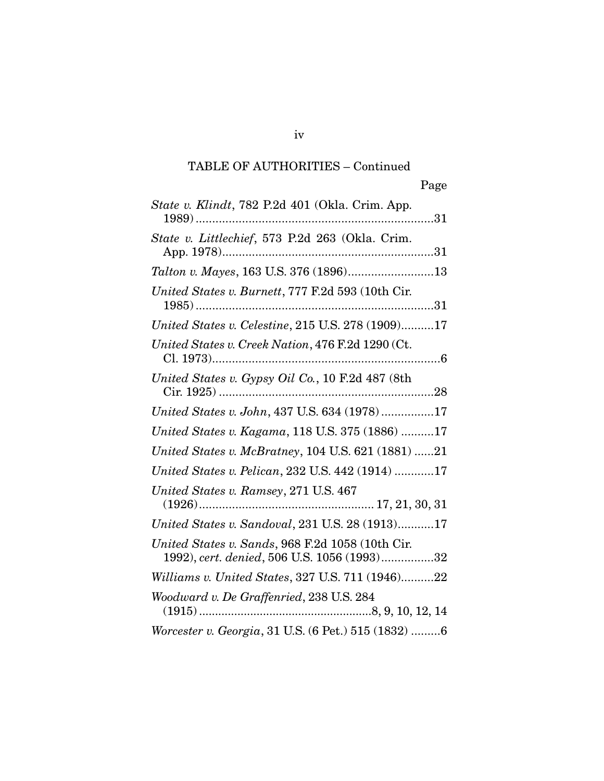iv

| State v. Klindt, 782 P.2d 401 (Okla. Crim. App.                                                 |
|-------------------------------------------------------------------------------------------------|
| State v. Littlechief, 573 P.2d 263 (Okla. Crim.                                                 |
|                                                                                                 |
| United States v. Burnett, 777 F.2d 593 (10th Cir.                                               |
| United States v. Celestine, 215 U.S. 278 (1909)17                                               |
| United States v. Creek Nation, 476 F.2d 1290 (Ct.                                               |
| United States v. Gypsy Oil Co., 10 F.2d 487 (8th                                                |
| United States v. John, 437 U.S. 634 (1978)17                                                    |
| United States v. Kagama, 118 U.S. 375 (1886) 17                                                 |
| United States v. McBratney, 104 U.S. 621 (1881) 21                                              |
| United States v. Pelican, 232 U.S. 442 (1914) 17                                                |
| United States v. Ramsey, 271 U.S. 467                                                           |
| United States v. Sandoval, 231 U.S. 28 (1913)17                                                 |
| United States v. Sands, 968 F.2d 1058 (10th Cir.<br>1992), cert. denied, 506 U.S. 1056 (1993)32 |
| Williams v. United States, 327 U.S. 711 (1946)22                                                |
| Woodward v. De Graffenried, 238 U.S. 284                                                        |
| Worcester v. Georgia, 31 U.S. (6 Pet.) 515 (1832) 6                                             |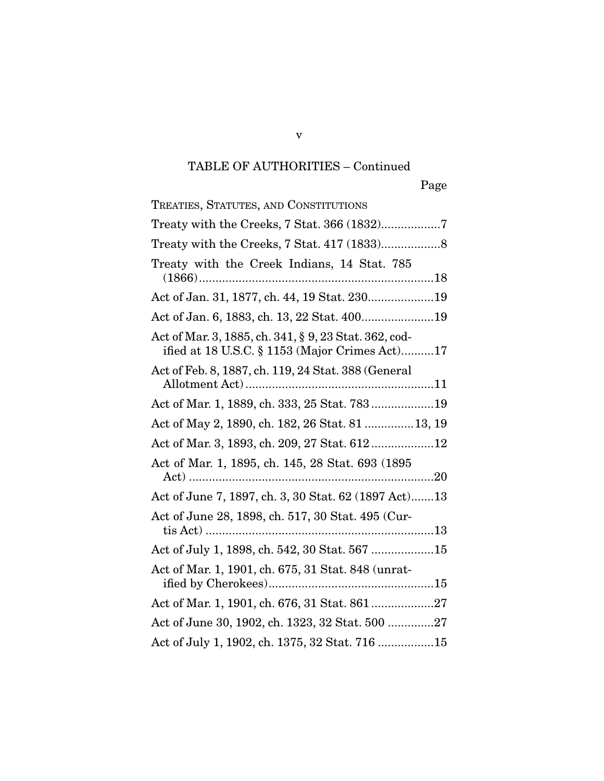| TREATIES, STATUTES, AND CONSTITUTIONS                                                                   |
|---------------------------------------------------------------------------------------------------------|
| Treaty with the Creeks, 7 Stat. 366 (1832)7                                                             |
|                                                                                                         |
| Treaty with the Creek Indians, 14 Stat. 785                                                             |
|                                                                                                         |
| Act of Jan. 6, 1883, ch. 13, 22 Stat. 40019                                                             |
| Act of Mar. 3, 1885, ch. 341, § 9, 23 Stat. 362, cod-<br>ified at 18 U.S.C. § 1153 (Major Crimes Act)17 |
| Act of Feb. 8, 1887, ch. 119, 24 Stat. 388 (General                                                     |
| Act of Mar. 1, 1889, ch. 333, 25 Stat. 78319                                                            |
| Act of May 2, 1890, ch. 182, 26 Stat. 81  13, 19                                                        |
| Act of Mar. 3, 1893, ch. 209, 27 Stat. 61212                                                            |
| Act of Mar. 1, 1895, ch. 145, 28 Stat. 693 (1895                                                        |
| Act of June 7, 1897, ch. 3, 30 Stat. 62 (1897 Act)13                                                    |
| Act of June 28, 1898, ch. 517, 30 Stat. 495 (Cur-                                                       |
| Act of July 1, 1898, ch. 542, 30 Stat. 567 15                                                           |
| Act of Mar. 1, 1901, ch. 675, 31 Stat. 848 (unrat-                                                      |
|                                                                                                         |
| Act of June 30, 1902, ch. 1323, 32 Stat. 500 27                                                         |
| Act of July 1, 1902, ch. 1375, 32 Stat. 716 15                                                          |

v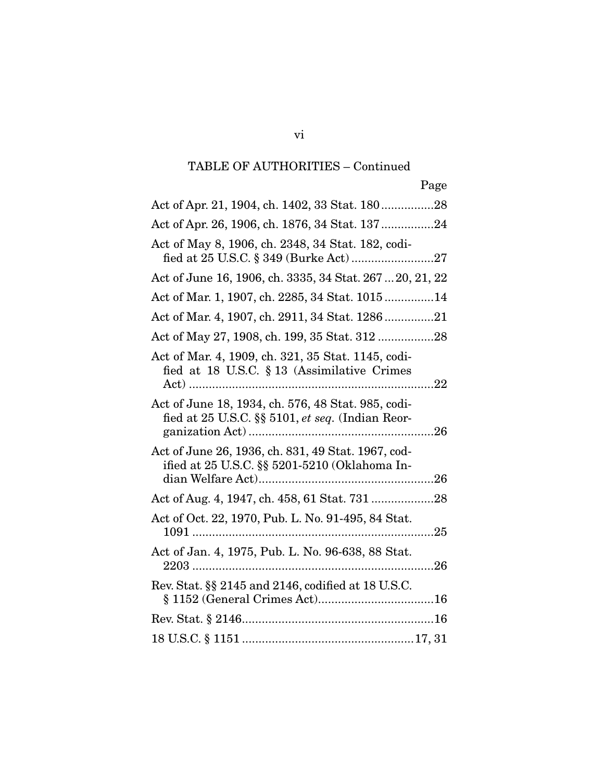| Act of Apr. 21, 1904, ch. 1402, 33 Stat. 18028                                                                       |
|----------------------------------------------------------------------------------------------------------------------|
| Act of Apr. 26, 1906, ch. 1876, 34 Stat. 13724                                                                       |
| Act of May 8, 1906, ch. 2348, 34 Stat. 182, codi-                                                                    |
| Act of June 16, 1906, ch. 3335, 34 Stat. 267  20, 21, 22                                                             |
| Act of Mar. 1, 1907, ch. 2285, 34 Stat. 101514                                                                       |
| Act of Mar. 4, 1907, ch. 2911, 34 Stat. 128621                                                                       |
| Act of May 27, 1908, ch. 199, 35 Stat. 312 28                                                                        |
| Act of Mar. 4, 1909, ch. 321, 35 Stat. 1145, codi-<br>fied at 18 U.S.C. $\S 13$ (Assimilative Crimes                 |
| Act of June 18, 1934, ch. 576, 48 Stat. 985, codi-<br>fied at $25$ U.S.C. $\S$ $5101$ , <i>et seq.</i> (Indian Reor- |
| Act of June 26, 1936, ch. 831, 49 Stat. 1967, cod-<br>ified at 25 U.S.C. §§ 5201-5210 (Oklahoma In-                  |
| Act of Aug. 4, 1947, ch. 458, 61 Stat. 731 28                                                                        |
| Act of Oct. 22, 1970, Pub. L. No. 91-495, 84 Stat.                                                                   |
| Act of Jan. 4, 1975, Pub. L. No. 96-638, 88 Stat.                                                                    |
| Rev. Stat. §§ 2145 and 2146, codified at 18 U.S.C.                                                                   |
|                                                                                                                      |
|                                                                                                                      |

vi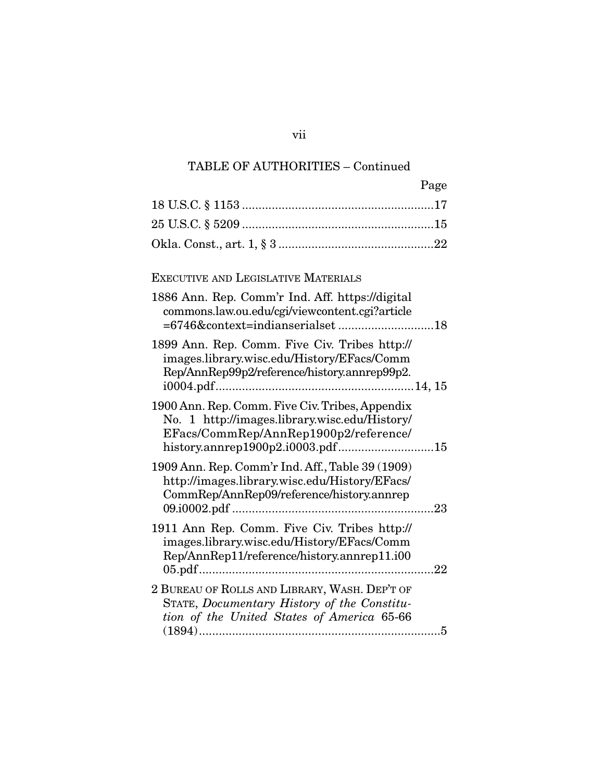| Page                                                                                                                                                                          |
|-------------------------------------------------------------------------------------------------------------------------------------------------------------------------------|
|                                                                                                                                                                               |
|                                                                                                                                                                               |
|                                                                                                                                                                               |
|                                                                                                                                                                               |
| EXECUTIVE AND LEGISLATIVE MATERIALS                                                                                                                                           |
| 1886 Ann. Rep. Comm'r Ind. Aff. https://digital<br>commons.law.ou.edu/cgi/viewcontent.cgi?article                                                                             |
| 1899 Ann. Rep. Comm. Five Civ. Tribes http://<br>images.library.wisc.edu/History/EFacs/Comm<br>Rep/AnnRep99p2/reference/history.annrep99p2.                                   |
| 1900 Ann. Rep. Comm. Five Civ. Tribes, Appendix<br>No. 1 http://images.library.wisc.edu/History/<br>EFacs/CommRep/AnnRep1900p2/reference/<br>history.annrep1900p2.i0003.pdf15 |
| 1909 Ann. Rep. Comm'r Ind. Aff., Table 39 (1909)<br>http://images.library.wisc.edu/History/EFacs/<br>CommRep/AnnRep09/reference/history.annrep                                |
| 1911 Ann Rep. Comm. Five Civ. Tribes http://<br>images.library.wisc.edu/History/EFacs/Comm<br>Rep/AnnRep11/reference/history.annrep11.i00                                     |
| 2 BUREAU OF ROLLS AND LIBRARY, WASH. DEP'T OF<br>STATE, Documentary History of the Constitu-<br>tion of the United States of America 65-66                                    |

vii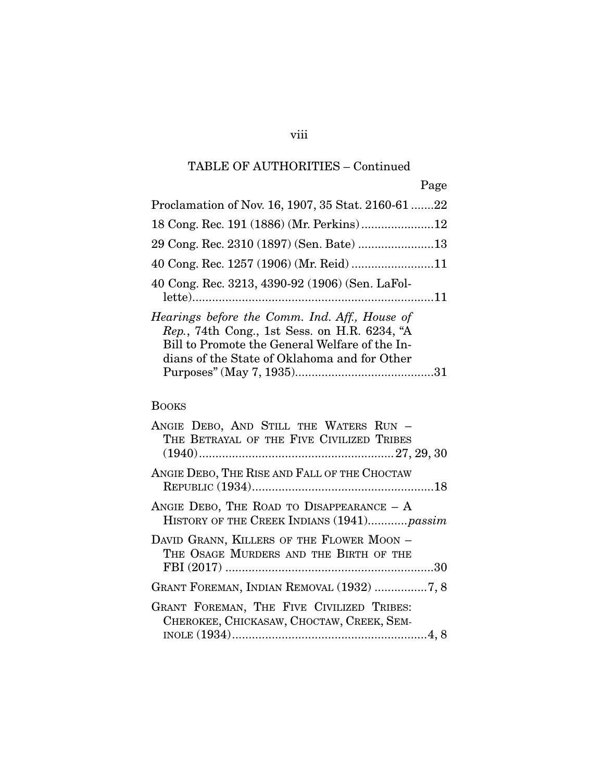## viii

# TABLE OF AUTHORITIES – Continued

|                                                                                                                                                                                                 | Page |
|-------------------------------------------------------------------------------------------------------------------------------------------------------------------------------------------------|------|
| Proclamation of Nov. 16, 1907, 35 Stat. 2160-61 22                                                                                                                                              |      |
|                                                                                                                                                                                                 |      |
| 29 Cong. Rec. 2310 (1897) (Sen. Bate) 13                                                                                                                                                        |      |
| 40 Cong. Rec. 1257 (1906) (Mr. Reid) 11                                                                                                                                                         |      |
| 40 Cong. Rec. 3213, 4390-92 (1906) (Sen. LaFol-                                                                                                                                                 |      |
| Hearings before the Comm. Ind. Aff., House of<br>Rep., 74th Cong., 1st Sess. on H.R. 6234, "A<br>Bill to Promote the General Welfare of the In-<br>dians of the State of Oklahoma and for Other |      |
|                                                                                                                                                                                                 |      |

### BOOKS

| ANGIE DEBO, AND STILL THE WATERS RUN -<br>THE BETRAYAL OF THE FIVE CIVILIZED TRIBES       |
|-------------------------------------------------------------------------------------------|
| ANGIE DEBO, THE RISE AND FALL OF THE CHOCTAW                                              |
| ANGIE DEBO, THE ROAD TO DISAPPEARANCE $-$ A<br>HISTORY OF THE CREEK INDIANS (1941) passim |
| DAVID GRANN, KILLERS OF THE FLOWER MOON -<br>THE OSAGE MURDERS AND THE BIRTH OF THE       |
| GRANT FOREMAN, INDIAN REMOVAL (1932) 7, 8                                                 |
| GRANT FOREMAN, THE FIVE CIVILIZED TRIBES:<br>CHEROKEE, CHICKASAW, CHOCTAW, CREEK, SEM-    |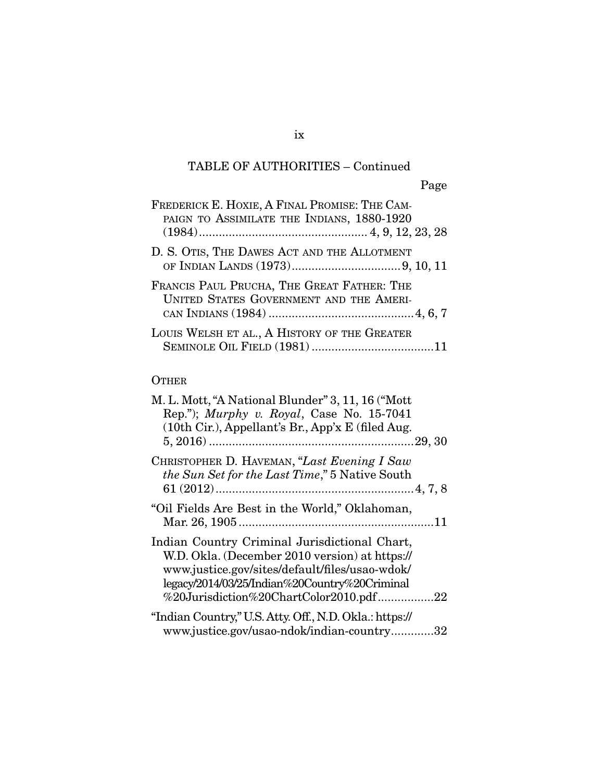| FREDERICK E. HOXIE, A FINAL PROMISE: THE CAM-<br>PAIGN TO ASSIMILATE THE INDIANS, 1880-1920 |
|---------------------------------------------------------------------------------------------|
| D. S. OTIS, THE DAWES ACT AND THE ALLOTMENT                                                 |
| FRANCIS PAUL PRUCHA, THE GREAT FATHER: THE<br>UNITED STATES GOVERNMENT AND THE AMERI-       |
| LOUIS WELSH ET AL., A HISTORY OF THE GREATER                                                |

### **OTHER**

| M. L. Mott, "A National Blunder" 3, 11, 16 ("Mott<br>Rep."); Murphy v. Royal, Case No. 15-7041<br>$(10th$ Cir.), Appellant's Br., App'x E (filed Aug.                                                                                        |
|----------------------------------------------------------------------------------------------------------------------------------------------------------------------------------------------------------------------------------------------|
| CHRISTOPHER D. HAVEMAN, "Last Evening I Saw<br><i>the Sun Set for the Last Time</i> ," 5 Native South                                                                                                                                        |
| "Oil Fields Are Best in the World," Oklahoman,                                                                                                                                                                                               |
| Indian Country Criminal Jurisdictional Chart,<br>W.D. Okla. (December 2010 version) at https://<br>www.justice.gov/sites/default/files/usao-wdok/<br>legacy/2014/03/25/Indian%20Country%20Criminal<br>%20Jurisdiction%20ChartColor2010.pdf22 |
| "Indian Country," U.S. Atty. Off., N.D. Okla.: https://<br>www.justice.gov/usao-ndok/indian-country32                                                                                                                                        |

### ix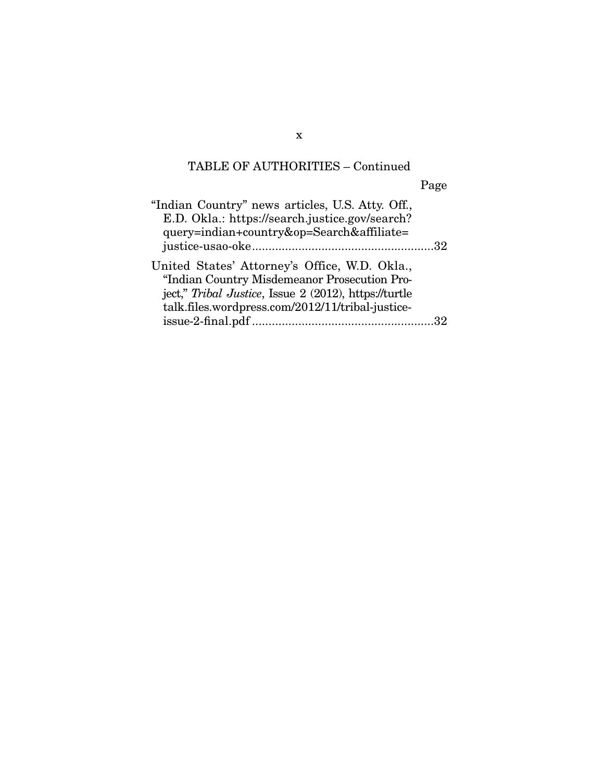Page

"Indian Country" news articles, U.S. Atty. Off., E.D. Okla.: https://search.justice.gov/search? query=indian+country&op=Search&affiliate= justice-usao-oke ....................................................... 32 United States' Attorney's Office, W.D. Okla., "Indian Country Misdemeanor Prosecution Project," *Tribal Justice*, Issue 2 (2012), https://turtle talk.files.wordpress.com/2012/11/tribal-justiceissue-2-final.pdf ....................................................... 32

x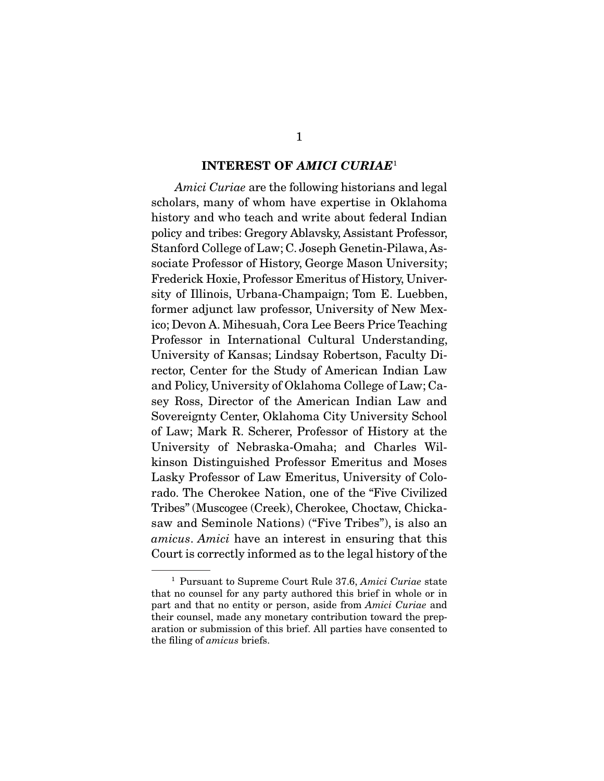#### INTEREST OF *AMICI CURIAE*<sup>1</sup>

*Amici Curiae* are the following historians and legal scholars, many of whom have expertise in Oklahoma history and who teach and write about federal Indian policy and tribes: Gregory Ablavsky, Assistant Professor, Stanford College of Law; C. Joseph Genetin-Pilawa, Associate Professor of History, George Mason University; Frederick Hoxie, Professor Emeritus of History, University of Illinois, Urbana-Champaign; Tom E. Luebben, former adjunct law professor, University of New Mexico; Devon A. Mihesuah, Cora Lee Beers Price Teaching Professor in International Cultural Understanding, University of Kansas; Lindsay Robertson, Faculty Director, Center for the Study of American Indian Law and Policy, University of Oklahoma College of Law; Casey Ross, Director of the American Indian Law and Sovereignty Center, Oklahoma City University School of Law; Mark R. Scherer, Professor of History at the University of Nebraska-Omaha; and Charles Wilkinson Distinguished Professor Emeritus and Moses Lasky Professor of Law Emeritus, University of Colorado. The Cherokee Nation, one of the "Five Civilized Tribes" (Muscogee (Creek), Cherokee, Choctaw, Chickasaw and Seminole Nations) ("Five Tribes"), is also an *amicus*. *Amici* have an interest in ensuring that this Court is correctly informed as to the legal history of the

<sup>1</sup> Pursuant to Supreme Court Rule 37.6, *Amici Curiae* state that no counsel for any party authored this brief in whole or in part and that no entity or person, aside from *Amici Curiae* and their counsel, made any monetary contribution toward the preparation or submission of this brief. All parties have consented to the filing of *amicus* briefs.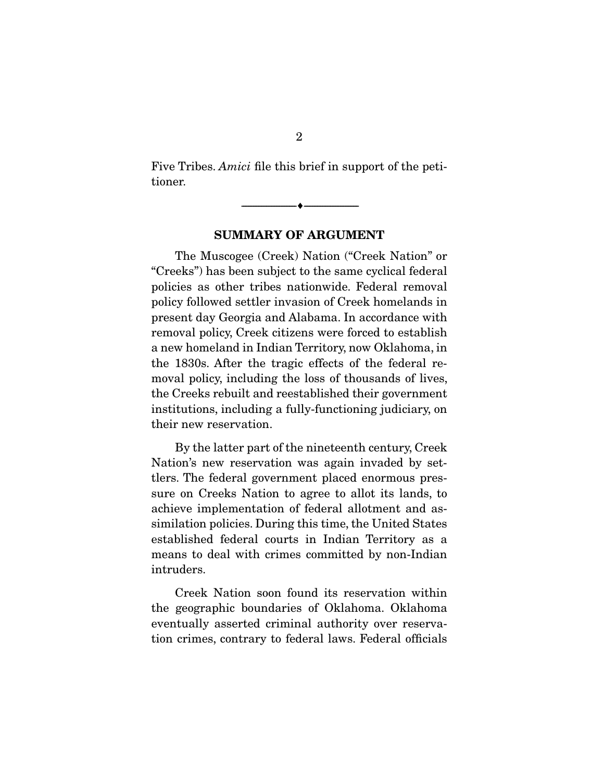Five Tribes. *Amici* file this brief in support of the petitioner.

SUMMARY OF ARGUMENT

--------------------------------- ---------------------------------

 The Muscogee (Creek) Nation ("Creek Nation" or "Creeks") has been subject to the same cyclical federal policies as other tribes nationwide. Federal removal policy followed settler invasion of Creek homelands in present day Georgia and Alabama. In accordance with removal policy, Creek citizens were forced to establish a new homeland in Indian Territory, now Oklahoma, in the 1830s. After the tragic effects of the federal removal policy, including the loss of thousands of lives, the Creeks rebuilt and reestablished their government institutions, including a fully-functioning judiciary, on their new reservation.

 By the latter part of the nineteenth century, Creek Nation's new reservation was again invaded by settlers. The federal government placed enormous pressure on Creeks Nation to agree to allot its lands, to achieve implementation of federal allotment and assimilation policies. During this time, the United States established federal courts in Indian Territory as a means to deal with crimes committed by non-Indian intruders.

 Creek Nation soon found its reservation within the geographic boundaries of Oklahoma. Oklahoma eventually asserted criminal authority over reservation crimes, contrary to federal laws. Federal officials

2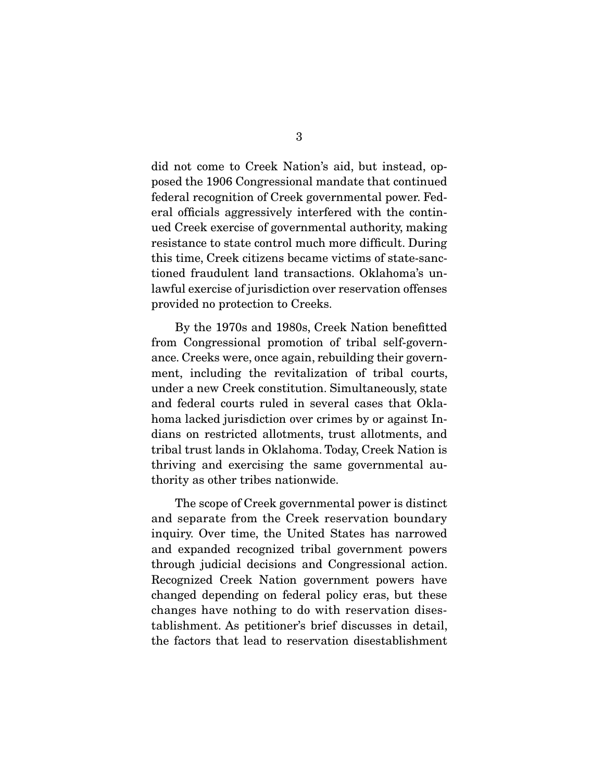did not come to Creek Nation's aid, but instead, opposed the 1906 Congressional mandate that continued federal recognition of Creek governmental power. Federal officials aggressively interfered with the continued Creek exercise of governmental authority, making resistance to state control much more difficult. During this time, Creek citizens became victims of state-sanctioned fraudulent land transactions. Oklahoma's unlawful exercise of jurisdiction over reservation offenses provided no protection to Creeks.

 By the 1970s and 1980s, Creek Nation benefitted from Congressional promotion of tribal self-governance. Creeks were, once again, rebuilding their government, including the revitalization of tribal courts, under a new Creek constitution. Simultaneously, state and federal courts ruled in several cases that Oklahoma lacked jurisdiction over crimes by or against Indians on restricted allotments, trust allotments, and tribal trust lands in Oklahoma. Today, Creek Nation is thriving and exercising the same governmental authority as other tribes nationwide.

 The scope of Creek governmental power is distinct and separate from the Creek reservation boundary inquiry. Over time, the United States has narrowed and expanded recognized tribal government powers through judicial decisions and Congressional action. Recognized Creek Nation government powers have changed depending on federal policy eras, but these changes have nothing to do with reservation disestablishment. As petitioner's brief discusses in detail, the factors that lead to reservation disestablishment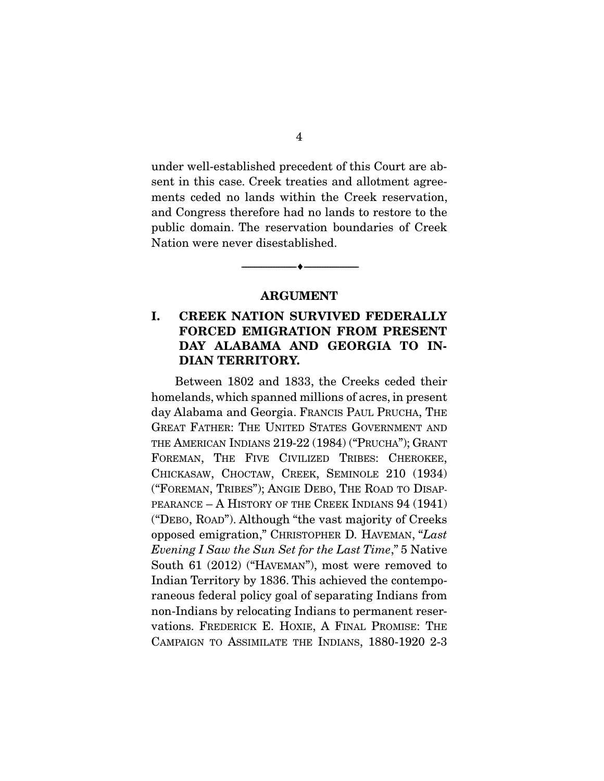under well-established precedent of this Court are absent in this case. Creek treaties and allotment agreements ceded no lands within the Creek reservation, and Congress therefore had no lands to restore to the public domain. The reservation boundaries of Creek Nation were never disestablished.

#### ARGUMENT

--------------------------------- ---------------------------------

#### I. CREEK NATION SURVIVED FEDERALLY FORCED EMIGRATION FROM PRESENT DAY ALABAMA AND GEORGIA TO IN-DIAN TERRITORY.

 Between 1802 and 1833, the Creeks ceded their homelands, which spanned millions of acres, in present day Alabama and Georgia. FRANCIS PAUL PRUCHA, THE GREAT FATHER: THE UNITED STATES GOVERNMENT AND THE AMERICAN INDIANS 219-22 (1984) ("PRUCHA"); GRANT FOREMAN, THE FIVE CIVILIZED TRIBES: CHEROKEE, CHICKASAW, CHOCTAW, CREEK, SEMINOLE 210 (1934) ("FOREMAN, TRIBES"); ANGIE DEBO, THE ROAD TO DISAP-PEARANCE – A HISTORY OF THE CREEK INDIANS 94 (1941) ("DEBO, ROAD"). Although "the vast majority of Creeks opposed emigration," CHRISTOPHER D. HAVEMAN, "*Last Evening I Saw the Sun Set for the Last Time*," 5 Native South 61 (2012) ("HAVEMAN"), most were removed to Indian Territory by 1836. This achieved the contemporaneous federal policy goal of separating Indians from non-Indians by relocating Indians to permanent reservations. FREDERICK E. HOXIE, A FINAL PROMISE: THE CAMPAIGN TO ASSIMILATE THE INDIANS, 1880-1920 2-3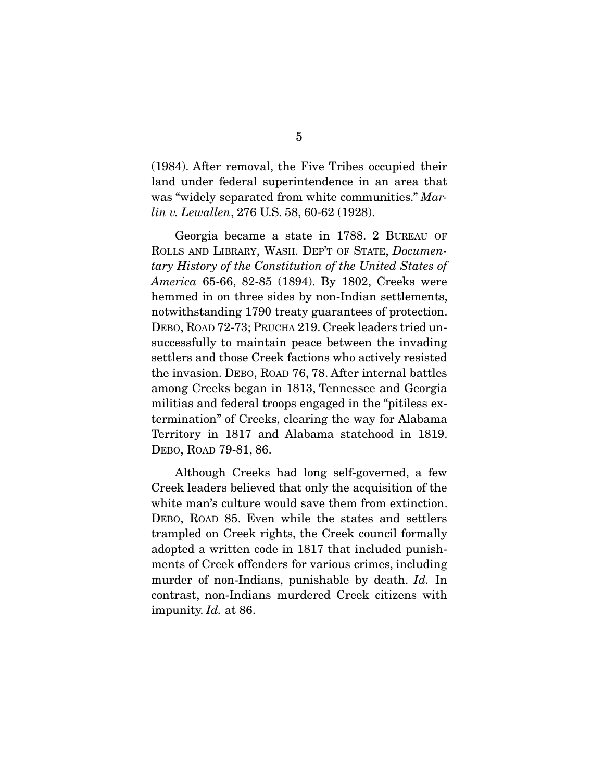(1984). After removal, the Five Tribes occupied their land under federal superintendence in an area that was "widely separated from white communities." *Marlin v. Lewallen*, 276 U.S. 58, 60-62 (1928).

 Georgia became a state in 1788. 2 BUREAU OF ROLLS AND LIBRARY, WASH. DEP'T OF STATE, *Documentary History of the Constitution of the United States of America* 65-66, 82-85 (1894). By 1802, Creeks were hemmed in on three sides by non-Indian settlements, notwithstanding 1790 treaty guarantees of protection. DEBO, ROAD 72-73; PRUCHA 219. Creek leaders tried unsuccessfully to maintain peace between the invading settlers and those Creek factions who actively resisted the invasion. DEBO, ROAD 76, 78. After internal battles among Creeks began in 1813, Tennessee and Georgia militias and federal troops engaged in the "pitiless extermination" of Creeks, clearing the way for Alabama Territory in 1817 and Alabama statehood in 1819. DEBO, ROAD 79-81, 86.

 Although Creeks had long self-governed, a few Creek leaders believed that only the acquisition of the white man's culture would save them from extinction. DEBO, ROAD 85. Even while the states and settlers trampled on Creek rights, the Creek council formally adopted a written code in 1817 that included punishments of Creek offenders for various crimes, including murder of non-Indians, punishable by death. *Id.* In contrast, non-Indians murdered Creek citizens with impunity. *Id.* at 86.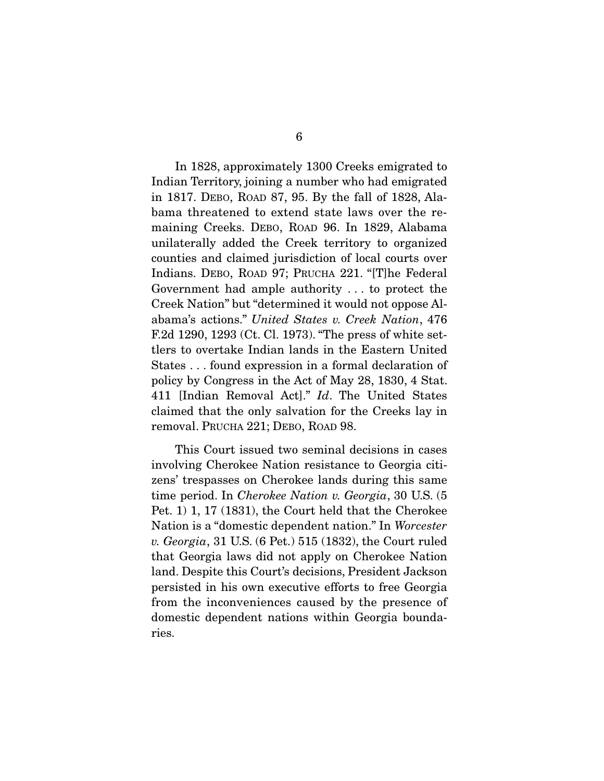In 1828, approximately 1300 Creeks emigrated to Indian Territory, joining a number who had emigrated in 1817. DEBO, ROAD 87, 95. By the fall of 1828, Alabama threatened to extend state laws over the remaining Creeks. DEBO, ROAD 96. In 1829, Alabama unilaterally added the Creek territory to organized counties and claimed jurisdiction of local courts over Indians. DEBO, ROAD 97; PRUCHA 221. "[T]he Federal Government had ample authority . . . to protect the Creek Nation" but "determined it would not oppose Alabama's actions." *United States v. Creek Nation*, 476 F.2d 1290, 1293 (Ct. Cl. 1973). "The press of white settlers to overtake Indian lands in the Eastern United States . . . found expression in a formal declaration of policy by Congress in the Act of May 28, 1830, 4 Stat. 411 [Indian Removal Act]." *Id*. The United States claimed that the only salvation for the Creeks lay in removal. PRUCHA 221; DEBO, ROAD 98.

 This Court issued two seminal decisions in cases involving Cherokee Nation resistance to Georgia citizens' trespasses on Cherokee lands during this same time period. In *Cherokee Nation v. Georgia*, 30 U.S. (5 Pet. 1) 1, 17 (1831), the Court held that the Cherokee Nation is a "domestic dependent nation." In *Worcester v. Georgia*, 31 U.S. (6 Pet.) 515 (1832), the Court ruled that Georgia laws did not apply on Cherokee Nation land. Despite this Court's decisions, President Jackson persisted in his own executive efforts to free Georgia from the inconveniences caused by the presence of domestic dependent nations within Georgia boundaries.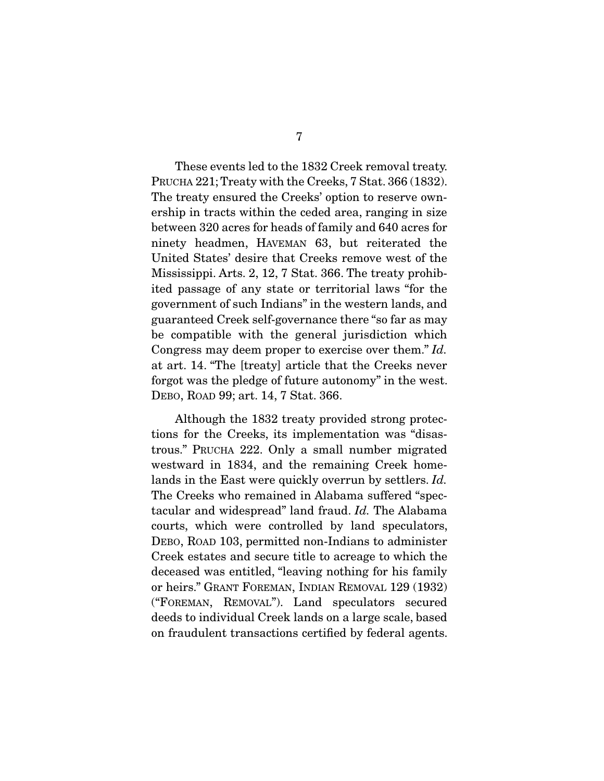These events led to the 1832 Creek removal treaty. PRUCHA 221; Treaty with the Creeks, 7 Stat. 366 (1832). The treaty ensured the Creeks' option to reserve ownership in tracts within the ceded area, ranging in size between 320 acres for heads of family and 640 acres for ninety headmen, HAVEMAN 63, but reiterated the United States' desire that Creeks remove west of the Mississippi. Arts. 2, 12, 7 Stat. 366. The treaty prohibited passage of any state or territorial laws "for the government of such Indians" in the western lands, and guaranteed Creek self-governance there "so far as may be compatible with the general jurisdiction which Congress may deem proper to exercise over them." *Id.* at art. 14. "The [treaty] article that the Creeks never forgot was the pledge of future autonomy" in the west. DEBO, ROAD 99; art. 14, 7 Stat. 366.

 Although the 1832 treaty provided strong protections for the Creeks, its implementation was "disastrous." PRUCHA 222. Only a small number migrated westward in 1834, and the remaining Creek homelands in the East were quickly overrun by settlers. *Id.* The Creeks who remained in Alabama suffered "spectacular and widespread" land fraud. *Id.* The Alabama courts, which were controlled by land speculators, DEBO, ROAD 103, permitted non-Indians to administer Creek estates and secure title to acreage to which the deceased was entitled, "leaving nothing for his family or heirs." GRANT FOREMAN, INDIAN REMOVAL 129 (1932) ("FOREMAN, REMOVAL"). Land speculators secured deeds to individual Creek lands on a large scale, based on fraudulent transactions certified by federal agents.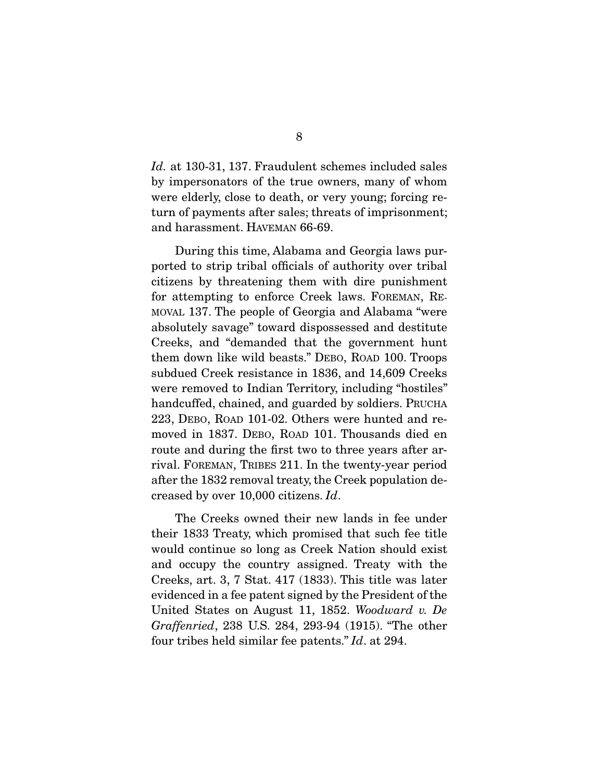*Id.* at 130-31, 137. Fraudulent schemes included sales by impersonators of the true owners, many of whom were elderly, close to death, or very young; forcing return of payments after sales; threats of imprisonment; and harassment. HAVEMAN 66-69.

 During this time, Alabama and Georgia laws purported to strip tribal officials of authority over tribal citizens by threatening them with dire punishment for attempting to enforce Creek laws. FOREMAN, RE-MOVAL 137. The people of Georgia and Alabama "were absolutely savage" toward dispossessed and destitute Creeks, and "demanded that the government hunt them down like wild beasts." DEBO, ROAD 100. Troops subdued Creek resistance in 1836, and 14,609 Creeks were removed to Indian Territory, including "hostiles" handcuffed, chained, and guarded by soldiers. PRUCHA 223, DEBO, ROAD 101-02. Others were hunted and removed in 1837. DEBO, ROAD 101. Thousands died en route and during the first two to three years after arrival. FOREMAN, TRIBES 211. In the twenty-year period after the 1832 removal treaty, the Creek population decreased by over 10,000 citizens. *Id*.

 The Creeks owned their new lands in fee under their 1833 Treaty, which promised that such fee title would continue so long as Creek Nation should exist and occupy the country assigned. Treaty with the Creeks, art. 3, 7 Stat. 417 (1833). This title was later evidenced in a fee patent signed by the President of the United States on August 11, 1852. *Woodward v. De Graffenried*, 238 U.S. 284, 293-94 (1915). "The other four tribes held similar fee patents." *Id*. at 294.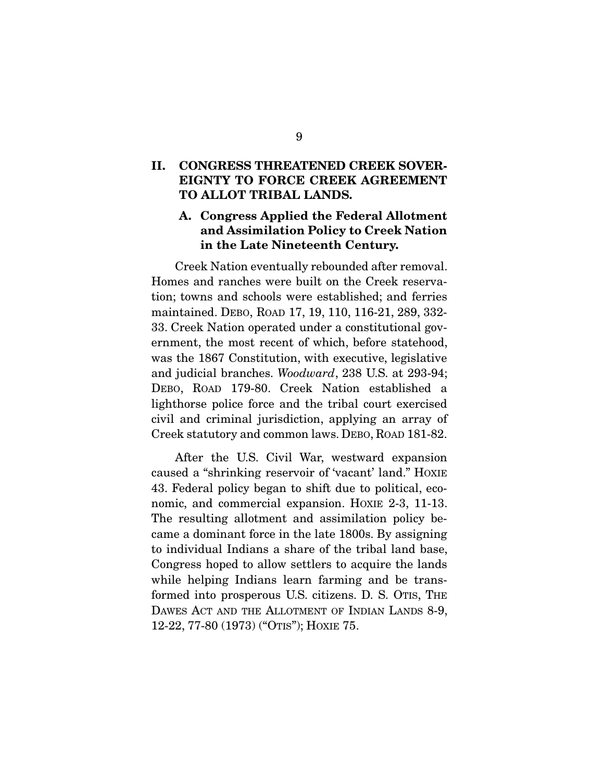#### II. CONGRESS THREATENED CREEK SOVER-EIGNTY TO FORCE CREEK AGREEMENT TO ALLOT TRIBAL LANDS.

### A. Congress Applied the Federal Allotment and Assimilation Policy to Creek Nation in the Late Nineteenth Century.

 Creek Nation eventually rebounded after removal. Homes and ranches were built on the Creek reservation; towns and schools were established; and ferries maintained. DEBO, ROAD 17, 19, 110, 116-21, 289, 332- 33. Creek Nation operated under a constitutional government, the most recent of which, before statehood, was the 1867 Constitution, with executive, legislative and judicial branches. *Woodward*, 238 U.S. at 293-94; DEBO, ROAD 179-80. Creek Nation established a lighthorse police force and the tribal court exercised civil and criminal jurisdiction, applying an array of Creek statutory and common laws. DEBO, ROAD 181-82.

 After the U.S. Civil War, westward expansion caused a "shrinking reservoir of 'vacant' land." HOXIE 43. Federal policy began to shift due to political, economic, and commercial expansion. HOXIE 2-3, 11-13. The resulting allotment and assimilation policy became a dominant force in the late 1800s. By assigning to individual Indians a share of the tribal land base, Congress hoped to allow settlers to acquire the lands while helping Indians learn farming and be transformed into prosperous U.S. citizens. D. S. OTIS, THE DAWES ACT AND THE ALLOTMENT OF INDIAN LANDS 8-9, 12-22, 77-80 (1973) ("OTIS"); HOXIE 75.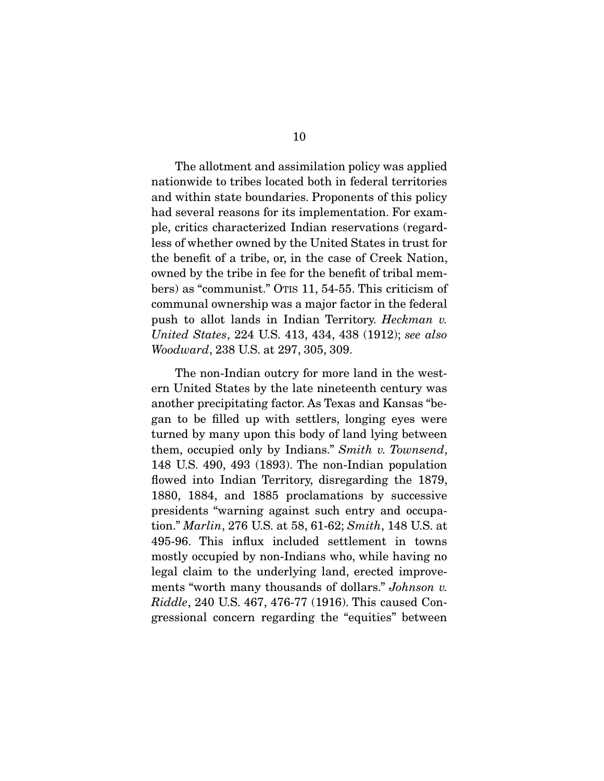The allotment and assimilation policy was applied nationwide to tribes located both in federal territories and within state boundaries. Proponents of this policy had several reasons for its implementation. For example, critics characterized Indian reservations (regardless of whether owned by the United States in trust for the benefit of a tribe, or, in the case of Creek Nation, owned by the tribe in fee for the benefit of tribal members) as "communist." OTIS 11, 54-55. This criticism of communal ownership was a major factor in the federal push to allot lands in Indian Territory. *Heckman v. United States*, 224 U.S. 413, 434, 438 (1912); *see also Woodward*, 238 U.S. at 297, 305, 309.

 The non-Indian outcry for more land in the western United States by the late nineteenth century was another precipitating factor. As Texas and Kansas "began to be filled up with settlers, longing eyes were turned by many upon this body of land lying between them, occupied only by Indians." *Smith v. Townsend*, 148 U.S. 490, 493 (1893). The non-Indian population flowed into Indian Territory, disregarding the 1879, 1880, 1884, and 1885 proclamations by successive presidents "warning against such entry and occupation." *Marlin*, 276 U.S. at 58, 61-62; *Smith*, 148 U.S. at 495-96. This influx included settlement in towns mostly occupied by non-Indians who, while having no legal claim to the underlying land, erected improvements "worth many thousands of dollars." *Johnson v. Riddle*, 240 U.S. 467, 476-77 (1916). This caused Congressional concern regarding the "equities" between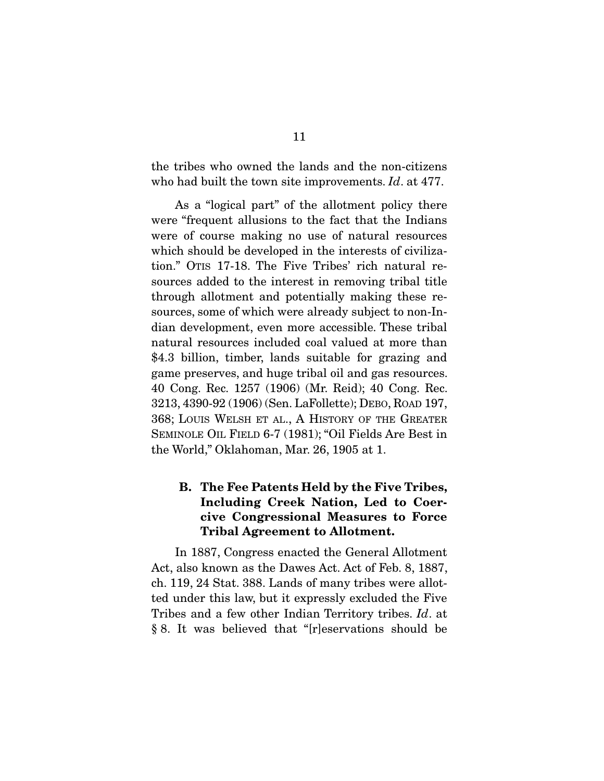the tribes who owned the lands and the non-citizens who had built the town site improvements. *Id*. at 477.

 As a "logical part" of the allotment policy there were "frequent allusions to the fact that the Indians were of course making no use of natural resources which should be developed in the interests of civilization." OTIS 17-18. The Five Tribes' rich natural resources added to the interest in removing tribal title through allotment and potentially making these resources, some of which were already subject to non-Indian development, even more accessible. These tribal natural resources included coal valued at more than \$4.3 billion, timber, lands suitable for grazing and game preserves, and huge tribal oil and gas resources. 40 Cong. Rec. 1257 (1906) (Mr. Reid); 40 Cong. Rec. 3213, 4390-92 (1906) (Sen. LaFollette); DEBO, ROAD 197, 368; LOUIS WELSH ET AL., A HISTORY OF THE GREATER SEMINOLE OIL FIELD 6-7 (1981); "Oil Fields Are Best in the World," Oklahoman, Mar. 26, 1905 at 1.

### B. The Fee Patents Held by the Five Tribes, Including Creek Nation, Led to Coercive Congressional Measures to Force Tribal Agreement to Allotment.

 In 1887, Congress enacted the General Allotment Act, also known as the Dawes Act. Act of Feb. 8, 1887, ch. 119, 24 Stat. 388. Lands of many tribes were allotted under this law, but it expressly excluded the Five Tribes and a few other Indian Territory tribes. *Id*. at § 8. It was believed that "[r]eservations should be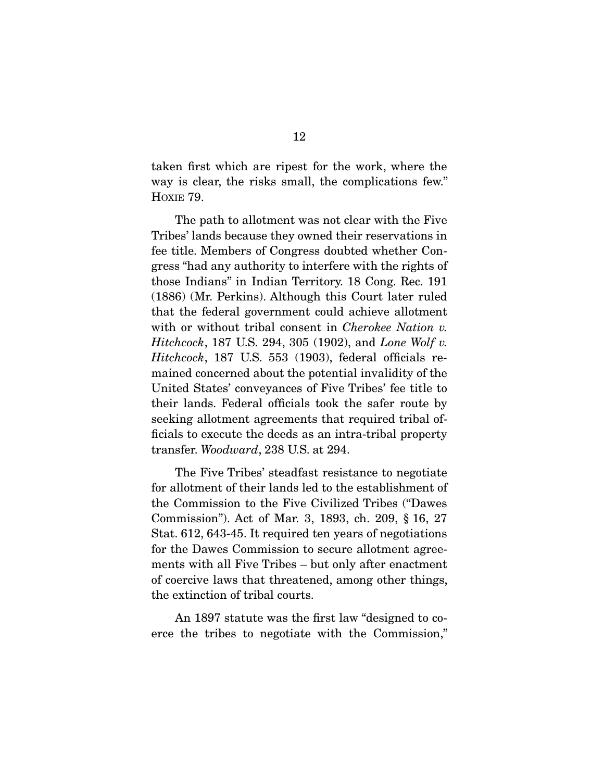taken first which are ripest for the work, where the way is clear, the risks small, the complications few." HOXIE 79.

 The path to allotment was not clear with the Five Tribes' lands because they owned their reservations in fee title. Members of Congress doubted whether Congress "had any authority to interfere with the rights of those Indians" in Indian Territory. 18 Cong. Rec. 191 (1886) (Mr. Perkins). Although this Court later ruled that the federal government could achieve allotment with or without tribal consent in *Cherokee Nation v. Hitchcock*, 187 U.S. 294, 305 (1902), and *Lone Wolf v. Hitchcock*, 187 U.S. 553 (1903), federal officials remained concerned about the potential invalidity of the United States' conveyances of Five Tribes' fee title to their lands. Federal officials took the safer route by seeking allotment agreements that required tribal officials to execute the deeds as an intra-tribal property transfer. *Woodward*, 238 U.S. at 294.

 The Five Tribes' steadfast resistance to negotiate for allotment of their lands led to the establishment of the Commission to the Five Civilized Tribes ("Dawes Commission"). Act of Mar. 3, 1893, ch. 209, § 16, 27 Stat. 612, 643-45. It required ten years of negotiations for the Dawes Commission to secure allotment agreements with all Five Tribes – but only after enactment of coercive laws that threatened, among other things, the extinction of tribal courts.

 An 1897 statute was the first law "designed to coerce the tribes to negotiate with the Commission,"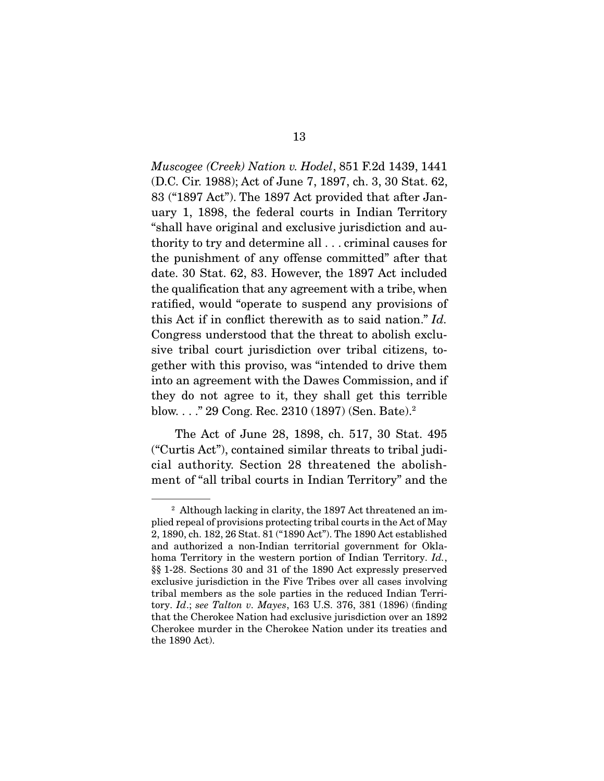*Muscogee (Creek) Nation v. Hodel*, 851 F.2d 1439, 1441 (D.C. Cir. 1988); Act of June 7, 1897, ch. 3, 30 Stat. 62, 83 ("1897 Act"). The 1897 Act provided that after January 1, 1898, the federal courts in Indian Territory "shall have original and exclusive jurisdiction and authority to try and determine all . . . criminal causes for the punishment of any offense committed" after that date. 30 Stat. 62, 83. However, the 1897 Act included the qualification that any agreement with a tribe, when ratified, would "operate to suspend any provisions of this Act if in conflict therewith as to said nation." *Id.* Congress understood that the threat to abolish exclusive tribal court jurisdiction over tribal citizens, together with this proviso, was "intended to drive them into an agreement with the Dawes Commission, and if they do not agree to it, they shall get this terrible blow. . . ." 29 Cong. Rec. 2310 (1897) (Sen. Bate).2

 The Act of June 28, 1898, ch. 517, 30 Stat. 495 ("Curtis Act"), contained similar threats to tribal judicial authority. Section 28 threatened the abolishment of "all tribal courts in Indian Territory" and the

<sup>&</sup>lt;sup>2</sup> Although lacking in clarity, the 1897 Act threatened an implied repeal of provisions protecting tribal courts in the Act of May 2, 1890, ch. 182, 26 Stat. 81 ("1890 Act"). The 1890 Act established and authorized a non-Indian territorial government for Oklahoma Territory in the western portion of Indian Territory. *Id.*, §§ 1-28. Sections 30 and 31 of the 1890 Act expressly preserved exclusive jurisdiction in the Five Tribes over all cases involving tribal members as the sole parties in the reduced Indian Territory. *Id*.; *see Talton v. Mayes*, 163 U.S. 376, 381 (1896) (finding that the Cherokee Nation had exclusive jurisdiction over an 1892 Cherokee murder in the Cherokee Nation under its treaties and the 1890 Act).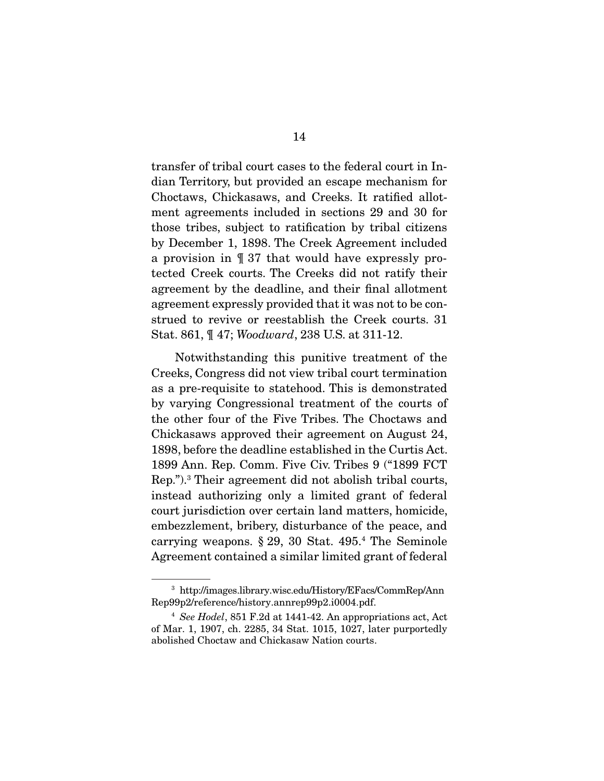transfer of tribal court cases to the federal court in Indian Territory, but provided an escape mechanism for Choctaws, Chickasaws, and Creeks. It ratified allotment agreements included in sections 29 and 30 for those tribes, subject to ratification by tribal citizens by December 1, 1898. The Creek Agreement included a provision in ¶ 37 that would have expressly protected Creek courts. The Creeks did not ratify their agreement by the deadline, and their final allotment agreement expressly provided that it was not to be construed to revive or reestablish the Creek courts. 31 Stat. 861, ¶ 47; *Woodward*, 238 U.S. at 311-12.

 Notwithstanding this punitive treatment of the Creeks, Congress did not view tribal court termination as a pre-requisite to statehood. This is demonstrated by varying Congressional treatment of the courts of the other four of the Five Tribes. The Choctaws and Chickasaws approved their agreement on August 24, 1898, before the deadline established in the Curtis Act. 1899 Ann. Rep. Comm. Five Civ. Tribes 9 ("1899 FCT Rep.").3 Their agreement did not abolish tribal courts, instead authorizing only a limited grant of federal court jurisdiction over certain land matters, homicide, embezzlement, bribery, disturbance of the peace, and carrying weapons. § 29, 30 Stat. 495.4 The Seminole Agreement contained a similar limited grant of federal

<sup>3</sup> http://images.library.wisc.edu/History/EFacs/CommRep/Ann Rep99p2/reference/history.annrep99p2.i0004.pdf.

<sup>4</sup> *See Hodel*, 851 F.2d at 1441-42. An appropriations act, Act of Mar. 1, 1907, ch. 2285, 34 Stat. 1015, 1027, later purportedly abolished Choctaw and Chickasaw Nation courts.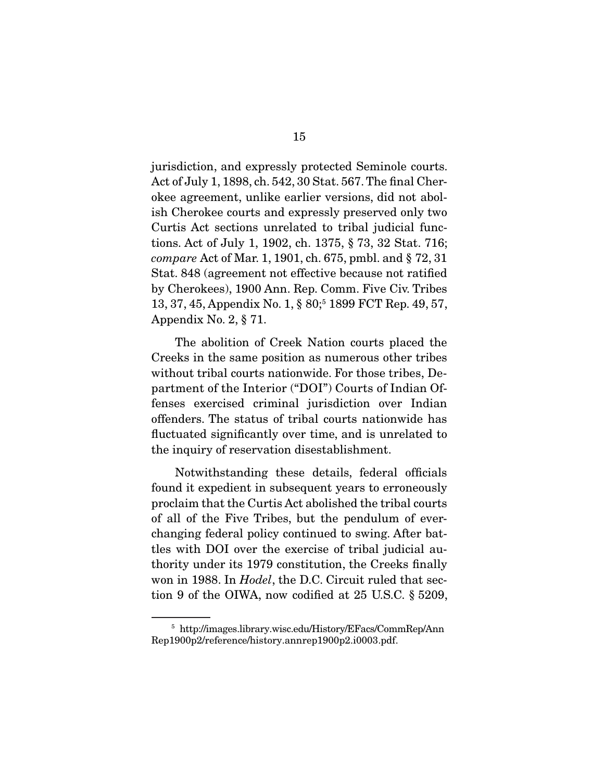jurisdiction, and expressly protected Seminole courts. Act of July 1, 1898, ch. 542, 30 Stat. 567. The final Cherokee agreement, unlike earlier versions, did not abolish Cherokee courts and expressly preserved only two Curtis Act sections unrelated to tribal judicial functions. Act of July 1, 1902, ch. 1375, § 73, 32 Stat. 716; *compare* Act of Mar. 1, 1901, ch. 675, pmbl. and § 72, 31 Stat. 848 (agreement not effective because not ratified by Cherokees), 1900 Ann. Rep. Comm. Five Civ. Tribes 13, 37, 45, Appendix No. 1, § 80;<sup>5</sup> 1899 FCT Rep. 49, 57, Appendix No. 2, § 71.

 The abolition of Creek Nation courts placed the Creeks in the same position as numerous other tribes without tribal courts nationwide. For those tribes, Department of the Interior ("DOI") Courts of Indian Offenses exercised criminal jurisdiction over Indian offenders. The status of tribal courts nationwide has fluctuated significantly over time, and is unrelated to the inquiry of reservation disestablishment.

 Notwithstanding these details, federal officials found it expedient in subsequent years to erroneously proclaim that the Curtis Act abolished the tribal courts of all of the Five Tribes, but the pendulum of everchanging federal policy continued to swing. After battles with DOI over the exercise of tribal judicial authority under its 1979 constitution, the Creeks finally won in 1988. In *Hodel*, the D.C. Circuit ruled that section 9 of the OIWA, now codified at 25 U.S.C. § 5209,

<sup>5</sup> http://images.library.wisc.edu/History/EFacs/CommRep/Ann Rep1900p2/reference/history.annrep1900p2.i0003.pdf.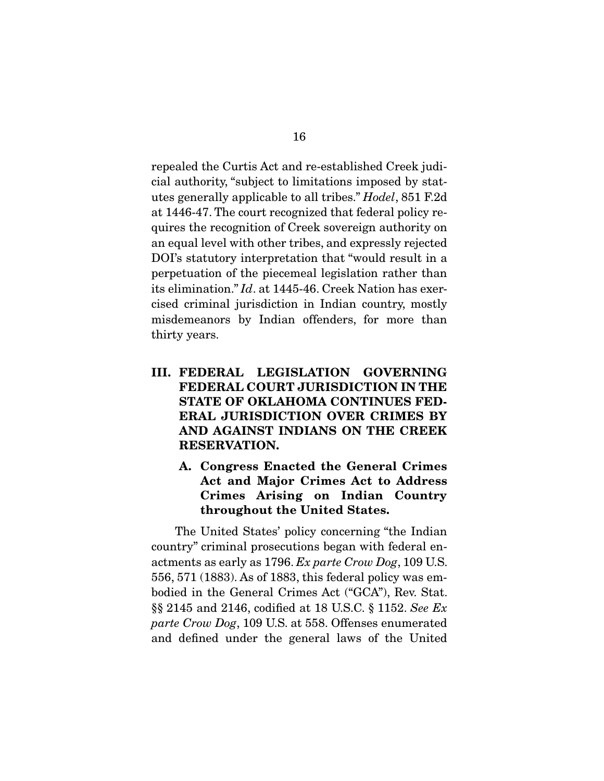repealed the Curtis Act and re-established Creek judicial authority, "subject to limitations imposed by statutes generally applicable to all tribes." *Hodel*, 851 F.2d at 1446-47. The court recognized that federal policy requires the recognition of Creek sovereign authority on an equal level with other tribes, and expressly rejected DOI's statutory interpretation that "would result in a perpetuation of the piecemeal legislation rather than its elimination." *Id*. at 1445-46. Creek Nation has exercised criminal jurisdiction in Indian country, mostly misdemeanors by Indian offenders, for more than thirty years.

- III. FEDERAL LEGISLATION GOVERNING FEDERAL COURT JURISDICTION IN THE STATE OF OKLAHOMA CONTINUES FED-ERAL JURISDICTION OVER CRIMES BY AND AGAINST INDIANS ON THE CREEK RESERVATION.
	- A. Congress Enacted the General Crimes Act and Major Crimes Act to Address Crimes Arising on Indian Country throughout the United States.

 The United States' policy concerning "the Indian country" criminal prosecutions began with federal enactments as early as 1796. *Ex parte Crow Dog*, 109 U.S. 556, 571 (1883). As of 1883, this federal policy was embodied in the General Crimes Act ("GCA"), Rev. Stat. §§ 2145 and 2146, codified at 18 U.S.C. § 1152. *See Ex parte Crow Dog*, 109 U.S. at 558. Offenses enumerated and defined under the general laws of the United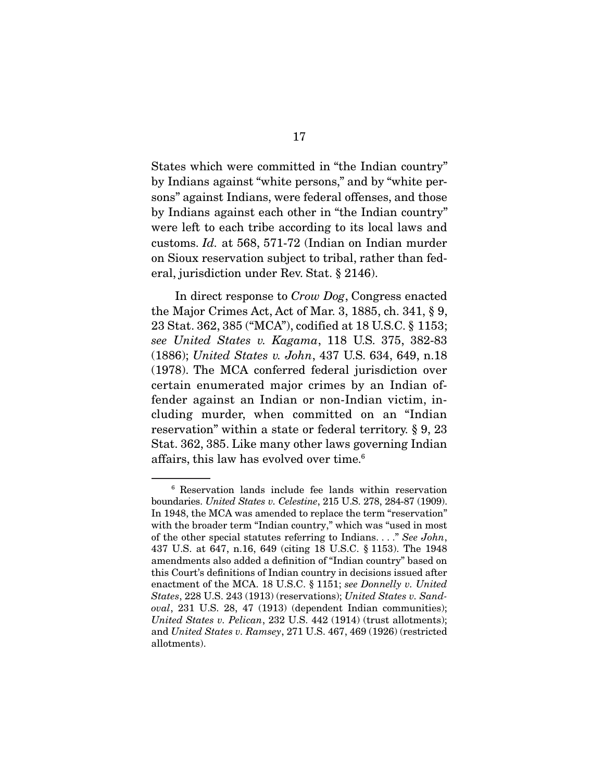States which were committed in "the Indian country" by Indians against "white persons," and by "white persons" against Indians, were federal offenses, and those by Indians against each other in "the Indian country" were left to each tribe according to its local laws and customs. *Id.* at 568, 571-72 (Indian on Indian murder on Sioux reservation subject to tribal, rather than federal, jurisdiction under Rev. Stat. § 2146).

 In direct response to *Crow Dog*, Congress enacted the Major Crimes Act, Act of Mar. 3, 1885, ch. 341, § 9, 23 Stat. 362, 385 ("MCA"), codified at 18 U.S.C. § 1153; *see United States v. Kagama*, 118 U.S. 375, 382-83 (1886); *United States v. John*, 437 U.S. 634, 649, n.18 (1978). The MCA conferred federal jurisdiction over certain enumerated major crimes by an Indian offender against an Indian or non-Indian victim, including murder, when committed on an "Indian reservation" within a state or federal territory. § 9, 23 Stat. 362, 385. Like many other laws governing Indian affairs, this law has evolved over time.6

<sup>6</sup> Reservation lands include fee lands within reservation boundaries. *United States v. Celestine*, 215 U.S. 278, 284-87 (1909). In 1948, the MCA was amended to replace the term "reservation" with the broader term "Indian country," which was "used in most of the other special statutes referring to Indians. . . ." *See John*, 437 U.S. at 647, n.16, 649 (citing 18 U.S.C. § 1153). The 1948 amendments also added a definition of "Indian country" based on this Court's definitions of Indian country in decisions issued after enactment of the MCA. 18 U.S.C. § 1151; *see Donnelly v. United States*, 228 U.S. 243 (1913) (reservations); *United States v. Sandoval*, 231 U.S. 28, 47 (1913) (dependent Indian communities); *United States v. Pelican*, 232 U.S. 442 (1914) (trust allotments); and *United States v. Ramsey*, 271 U.S. 467, 469 (1926) (restricted allotments).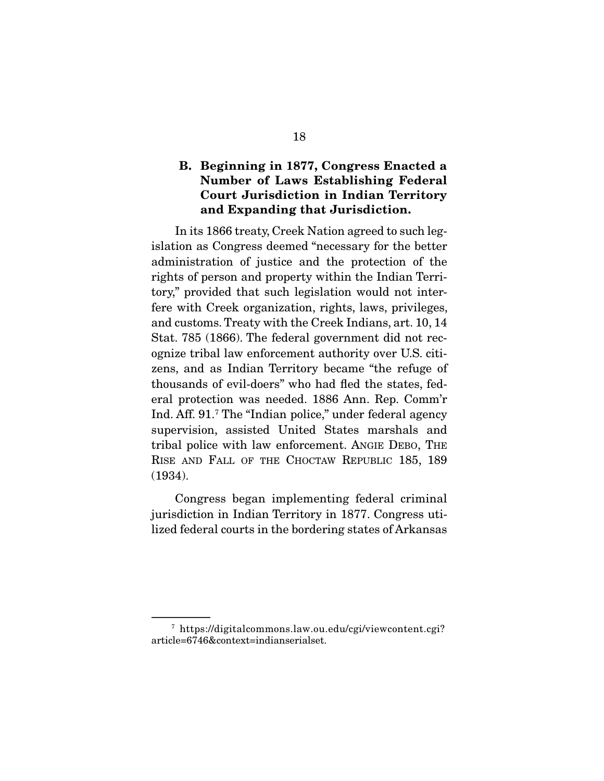#### B. Beginning in 1877, Congress Enacted a Number of Laws Establishing Federal Court Jurisdiction in Indian Territory and Expanding that Jurisdiction.

 In its 1866 treaty, Creek Nation agreed to such legislation as Congress deemed "necessary for the better administration of justice and the protection of the rights of person and property within the Indian Territory," provided that such legislation would not interfere with Creek organization, rights, laws, privileges, and customs. Treaty with the Creek Indians, art. 10, 14 Stat. 785 (1866). The federal government did not recognize tribal law enforcement authority over U.S. citizens, and as Indian Territory became "the refuge of thousands of evil-doers" who had fled the states, federal protection was needed. 1886 Ann. Rep. Comm'r Ind. Aff. 91.<sup>7</sup> The "Indian police," under federal agency supervision, assisted United States marshals and tribal police with law enforcement. ANGIE DEBO, THE RISE AND FALL OF THE CHOCTAW REPUBLIC 185, 189 (1934).

 Congress began implementing federal criminal jurisdiction in Indian Territory in 1877. Congress utilized federal courts in the bordering states of Arkansas

<sup>7</sup> https://digitalcommons.law.ou.edu/cgi/viewcontent.cgi? article=6746&context=indianserialset.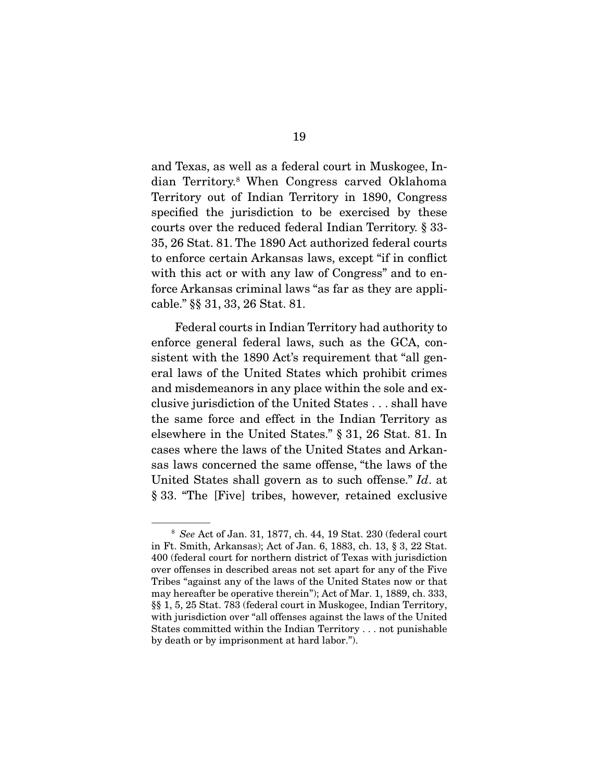and Texas, as well as a federal court in Muskogee, Indian Territory.8 When Congress carved Oklahoma Territory out of Indian Territory in 1890, Congress specified the jurisdiction to be exercised by these courts over the reduced federal Indian Territory. § 33- 35, 26 Stat. 81. The 1890 Act authorized federal courts to enforce certain Arkansas laws, except "if in conflict with this act or with any law of Congress" and to enforce Arkansas criminal laws "as far as they are applicable." §§ 31, 33, 26 Stat. 81.

 Federal courts in Indian Territory had authority to enforce general federal laws, such as the GCA, consistent with the 1890 Act's requirement that "all general laws of the United States which prohibit crimes and misdemeanors in any place within the sole and exclusive jurisdiction of the United States . . . shall have the same force and effect in the Indian Territory as elsewhere in the United States." § 31, 26 Stat. 81. In cases where the laws of the United States and Arkansas laws concerned the same offense, "the laws of the United States shall govern as to such offense." *Id*. at § 33. "The [Five] tribes, however, retained exclusive

<sup>8</sup> *See* Act of Jan. 31, 1877, ch. 44, 19 Stat. 230 (federal court in Ft. Smith, Arkansas); Act of Jan. 6, 1883, ch. 13, § 3, 22 Stat. 400 (federal court for northern district of Texas with jurisdiction over offenses in described areas not set apart for any of the Five Tribes "against any of the laws of the United States now or that may hereafter be operative therein"); Act of Mar. 1, 1889, ch. 333, §§ 1, 5, 25 Stat. 783 (federal court in Muskogee, Indian Territory, with jurisdiction over "all offenses against the laws of the United States committed within the Indian Territory . . . not punishable by death or by imprisonment at hard labor.").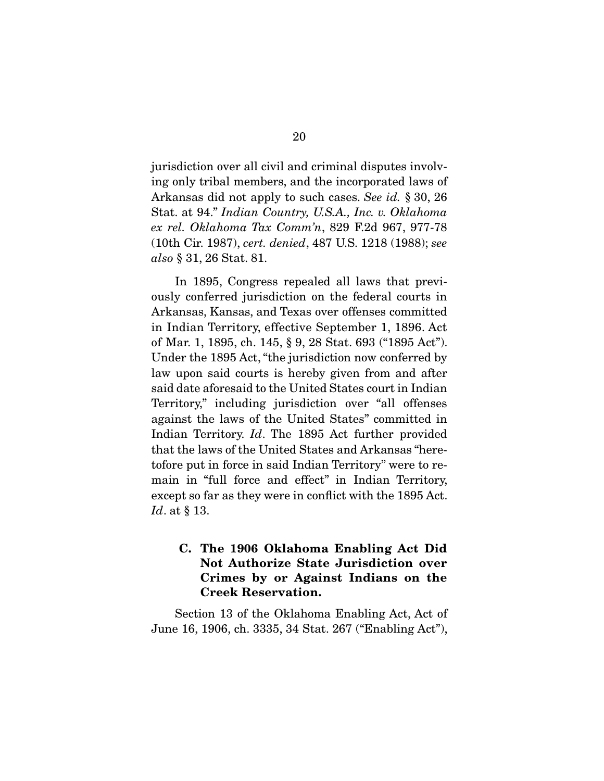jurisdiction over all civil and criminal disputes involving only tribal members, and the incorporated laws of Arkansas did not apply to such cases. *See id.* § 30, 26 Stat. at 94." *Indian Country, U.S.A., Inc. v. Oklahoma ex rel. Oklahoma Tax Comm'n*, 829 F.2d 967, 977-78 (10th Cir. 1987), *cert. denied*, 487 U.S. 1218 (1988); *see also* § 31, 26 Stat. 81.

 In 1895, Congress repealed all laws that previously conferred jurisdiction on the federal courts in Arkansas, Kansas, and Texas over offenses committed in Indian Territory, effective September 1, 1896. Act of Mar. 1, 1895, ch. 145, § 9, 28 Stat. 693 ("1895 Act"). Under the 1895 Act, "the jurisdiction now conferred by law upon said courts is hereby given from and after said date aforesaid to the United States court in Indian Territory," including jurisdiction over "all offenses against the laws of the United States" committed in Indian Territory. *Id*. The 1895 Act further provided that the laws of the United States and Arkansas "heretofore put in force in said Indian Territory" were to remain in "full force and effect" in Indian Territory, except so far as they were in conflict with the 1895 Act. *Id*. at § 13.

### C. The 1906 Oklahoma Enabling Act Did Not Authorize State Jurisdiction over Crimes by or Against Indians on the Creek Reservation.

 Section 13 of the Oklahoma Enabling Act, Act of June 16, 1906, ch. 3335, 34 Stat. 267 ("Enabling Act"),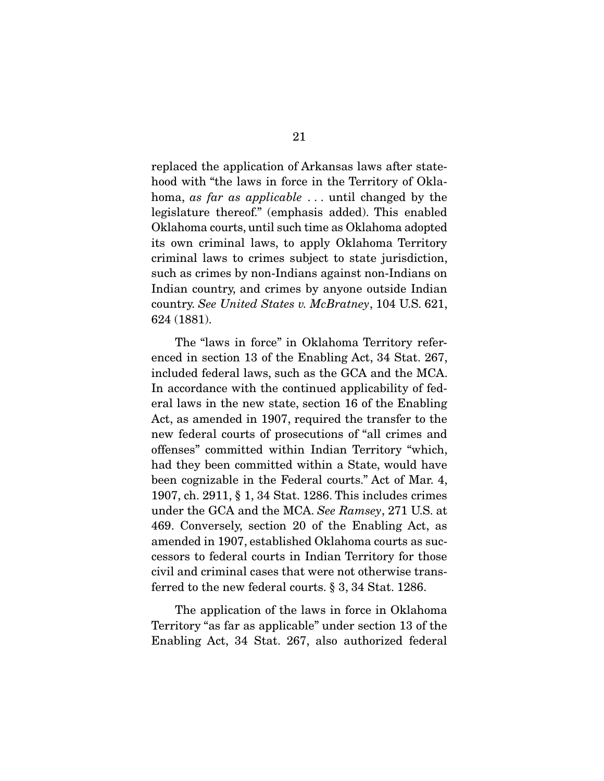replaced the application of Arkansas laws after statehood with "the laws in force in the Territory of Oklahoma, *as far as applicable* . . . until changed by the legislature thereof." (emphasis added). This enabled Oklahoma courts, until such time as Oklahoma adopted its own criminal laws, to apply Oklahoma Territory criminal laws to crimes subject to state jurisdiction, such as crimes by non-Indians against non-Indians on Indian country, and crimes by anyone outside Indian country. *See United States v. McBratney*, 104 U.S. 621, 624 (1881).

 The "laws in force" in Oklahoma Territory referenced in section 13 of the Enabling Act, 34 Stat. 267, included federal laws, such as the GCA and the MCA. In accordance with the continued applicability of federal laws in the new state, section 16 of the Enabling Act, as amended in 1907, required the transfer to the new federal courts of prosecutions of "all crimes and offenses" committed within Indian Territory "which, had they been committed within a State, would have been cognizable in the Federal courts." Act of Mar. 4, 1907, ch. 2911, § 1, 34 Stat. 1286. This includes crimes under the GCA and the MCA. *See Ramsey*, 271 U.S. at 469. Conversely, section 20 of the Enabling Act, as amended in 1907, established Oklahoma courts as successors to federal courts in Indian Territory for those civil and criminal cases that were not otherwise transferred to the new federal courts. § 3, 34 Stat. 1286.

 The application of the laws in force in Oklahoma Territory "as far as applicable" under section 13 of the Enabling Act, 34 Stat. 267, also authorized federal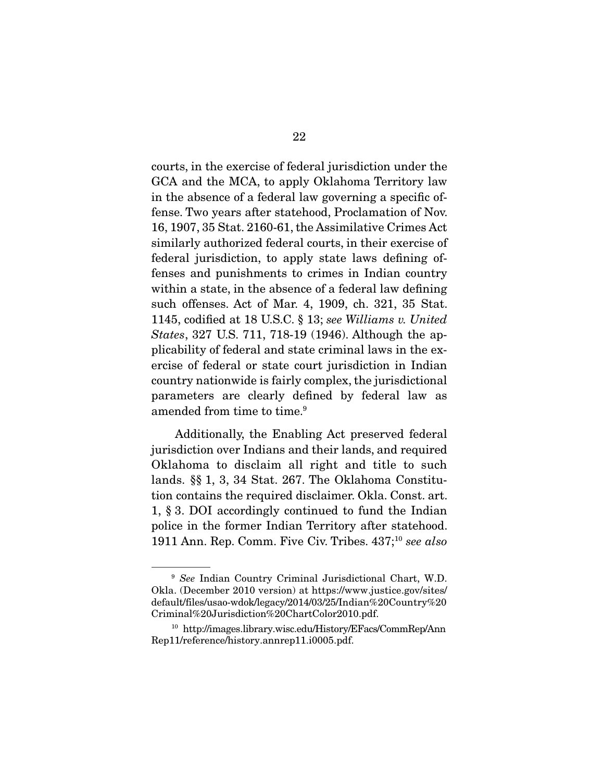courts, in the exercise of federal jurisdiction under the GCA and the MCA, to apply Oklahoma Territory law in the absence of a federal law governing a specific offense. Two years after statehood, Proclamation of Nov. 16, 1907, 35 Stat. 2160-61, the Assimilative Crimes Act similarly authorized federal courts, in their exercise of federal jurisdiction, to apply state laws defining offenses and punishments to crimes in Indian country within a state, in the absence of a federal law defining such offenses. Act of Mar. 4, 1909, ch. 321, 35 Stat. 1145, codified at 18 U.S.C. § 13; *see Williams v. United States*, 327 U.S. 711, 718-19 (1946). Although the applicability of federal and state criminal laws in the exercise of federal or state court jurisdiction in Indian country nationwide is fairly complex, the jurisdictional parameters are clearly defined by federal law as amended from time to time.<sup>9</sup>

 Additionally, the Enabling Act preserved federal jurisdiction over Indians and their lands, and required Oklahoma to disclaim all right and title to such lands. §§ 1, 3, 34 Stat. 267. The Oklahoma Constitution contains the required disclaimer. Okla. Const. art. 1, § 3. DOI accordingly continued to fund the Indian police in the former Indian Territory after statehood. 1911 Ann. Rep. Comm. Five Civ. Tribes. 437;10 *see also*

<sup>9</sup> *See* Indian Country Criminal Jurisdictional Chart, W.D. Okla. (December 2010 version) at https://www.justice.gov/sites/ default/files/usao-wdok/legacy/2014/03/25/Indian%20Country%20 Criminal%20Jurisdiction%20ChartColor2010.pdf.

<sup>10</sup> http://images.library.wisc.edu/History/EFacs/CommRep/Ann Rep11/reference/history.annrep11.i0005.pdf.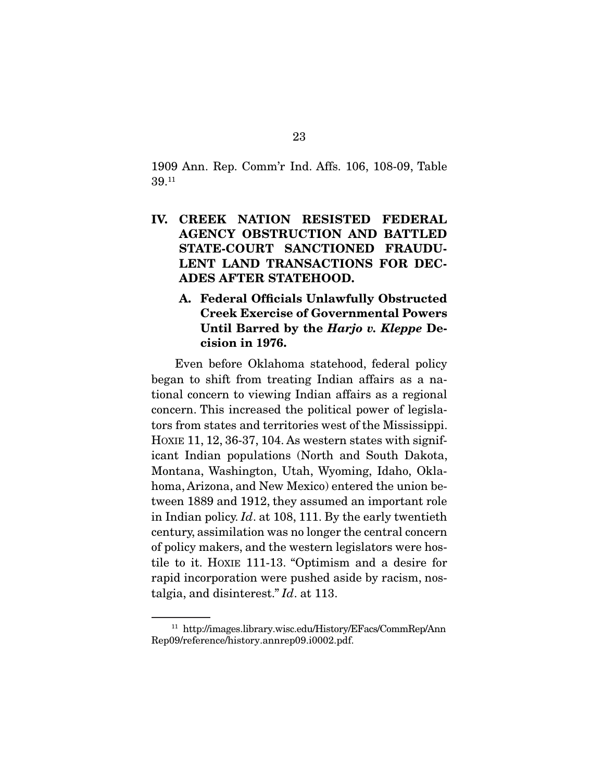1909 Ann. Rep. Comm'r Ind. Affs. 106, 108-09, Table 39.11

- IV. CREEK NATION RESISTED FEDERAL AGENCY OBSTRUCTION AND BATTLED STATE-COURT SANCTIONED FRAUDU-LENT LAND TRANSACTIONS FOR DEC-ADES AFTER STATEHOOD.
	- A. Federal Officials Unlawfully Obstructed Creek Exercise of Governmental Powers Until Barred by the *Harjo v. Kleppe* Decision in 1976.

 Even before Oklahoma statehood, federal policy began to shift from treating Indian affairs as a national concern to viewing Indian affairs as a regional concern. This increased the political power of legislators from states and territories west of the Mississippi. HOXIE 11, 12, 36-37, 104. As western states with significant Indian populations (North and South Dakota, Montana, Washington, Utah, Wyoming, Idaho, Oklahoma, Arizona, and New Mexico) entered the union between 1889 and 1912, they assumed an important role in Indian policy. *Id*. at 108, 111. By the early twentieth century, assimilation was no longer the central concern of policy makers, and the western legislators were hostile to it. HOXIE 111-13. "Optimism and a desire for rapid incorporation were pushed aside by racism, nostalgia, and disinterest." *Id*. at 113.

<sup>11</sup> http://images.library.wisc.edu/History/EFacs/CommRep/Ann Rep09/reference/history.annrep09.i0002.pdf.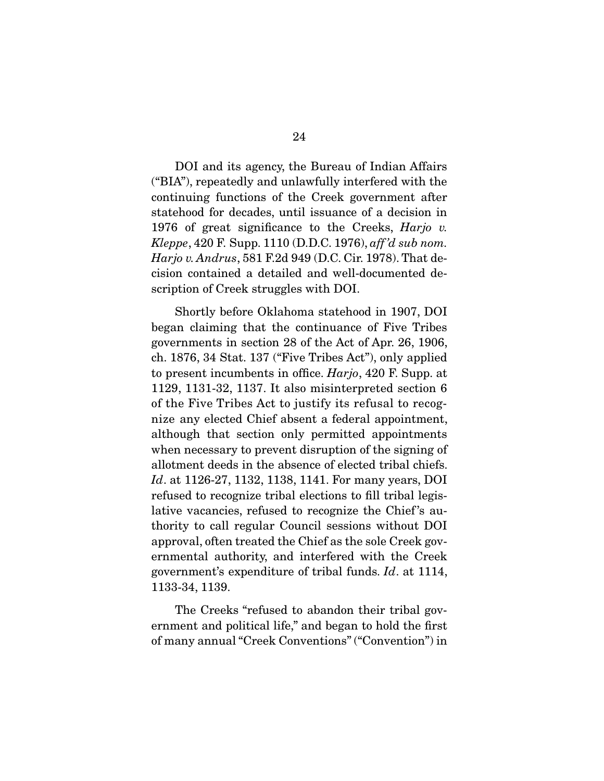DOI and its agency, the Bureau of Indian Affairs ("BIA"), repeatedly and unlawfully interfered with the continuing functions of the Creek government after statehood for decades, until issuance of a decision in 1976 of great significance to the Creeks, *Harjo v. Kleppe*, 420 F. Supp. 1110 (D.D.C. 1976), *aff 'd sub nom. Harjo v. Andrus*, 581 F.2d 949 (D.C. Cir. 1978). That decision contained a detailed and well-documented description of Creek struggles with DOI.

 Shortly before Oklahoma statehood in 1907, DOI began claiming that the continuance of Five Tribes governments in section 28 of the Act of Apr. 26, 1906, ch. 1876, 34 Stat. 137 ("Five Tribes Act"), only applied to present incumbents in office. *Harjo*, 420 F. Supp. at 1129, 1131-32, 1137. It also misinterpreted section 6 of the Five Tribes Act to justify its refusal to recognize any elected Chief absent a federal appointment, although that section only permitted appointments when necessary to prevent disruption of the signing of allotment deeds in the absence of elected tribal chiefs. *Id*. at 1126-27, 1132, 1138, 1141. For many years, DOI refused to recognize tribal elections to fill tribal legislative vacancies, refused to recognize the Chief 's authority to call regular Council sessions without DOI approval, often treated the Chief as the sole Creek governmental authority, and interfered with the Creek government's expenditure of tribal funds. *Id*. at 1114, 1133-34, 1139.

 The Creeks "refused to abandon their tribal government and political life," and began to hold the first of many annual "Creek Conventions" ("Convention") in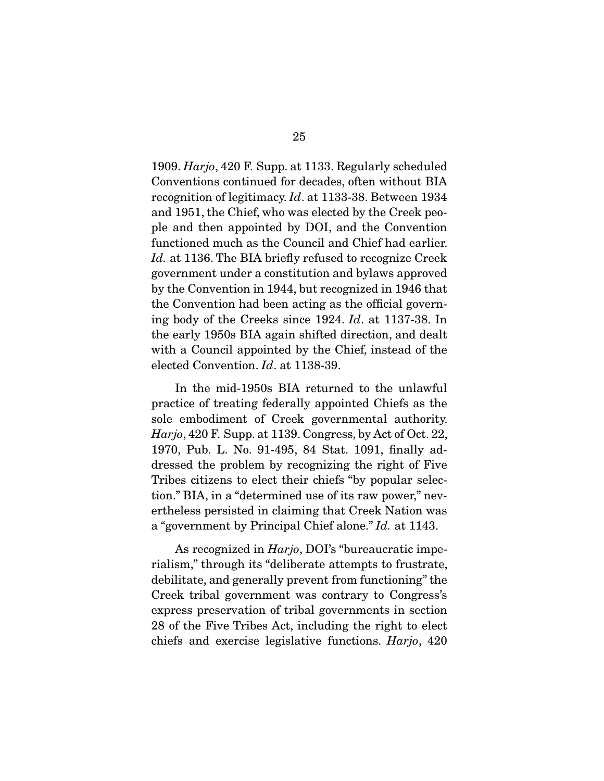1909. *Harjo*, 420 F. Supp. at 1133. Regularly scheduled Conventions continued for decades, often without BIA recognition of legitimacy. *Id*. at 1133-38. Between 1934 and 1951, the Chief, who was elected by the Creek people and then appointed by DOI, and the Convention functioned much as the Council and Chief had earlier. *Id.* at 1136. The BIA briefly refused to recognize Creek government under a constitution and bylaws approved by the Convention in 1944, but recognized in 1946 that the Convention had been acting as the official governing body of the Creeks since 1924. *Id*. at 1137-38. In the early 1950s BIA again shifted direction, and dealt with a Council appointed by the Chief, instead of the elected Convention. *Id*. at 1138-39.

 In the mid-1950s BIA returned to the unlawful practice of treating federally appointed Chiefs as the sole embodiment of Creek governmental authority. *Harjo*, 420 F. Supp. at 1139. Congress, by Act of Oct. 22, 1970, Pub. L. No. 91-495, 84 Stat. 1091, finally addressed the problem by recognizing the right of Five Tribes citizens to elect their chiefs "by popular selection." BIA, in a "determined use of its raw power," nevertheless persisted in claiming that Creek Nation was a "government by Principal Chief alone." *Id.* at 1143.

 As recognized in *Harjo*, DOI's "bureaucratic imperialism," through its "deliberate attempts to frustrate, debilitate, and generally prevent from functioning" the Creek tribal government was contrary to Congress's express preservation of tribal governments in section 28 of the Five Tribes Act, including the right to elect chiefs and exercise legislative functions. *Harjo*, 420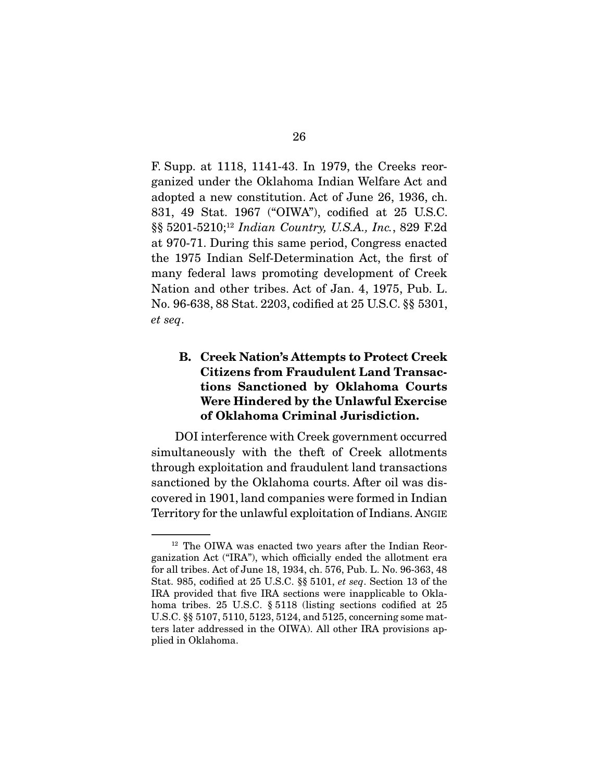F. Supp. at 1118, 1141-43. In 1979, the Creeks reorganized under the Oklahoma Indian Welfare Act and adopted a new constitution. Act of June 26, 1936, ch. 831, 49 Stat. 1967 ("OIWA"), codified at 25 U.S.C. §§ 5201-5210;12 *Indian Country, U.S.A., Inc.*, 829 F.2d at 970-71. During this same period, Congress enacted the 1975 Indian Self-Determination Act, the first of many federal laws promoting development of Creek Nation and other tribes. Act of Jan. 4, 1975, Pub. L. No. 96-638, 88 Stat. 2203, codified at 25 U.S.C. §§ 5301, *et seq*.

### B. Creek Nation's Attempts to Protect Creek Citizens from Fraudulent Land Transactions Sanctioned by Oklahoma Courts Were Hindered by the Unlawful Exercise of Oklahoma Criminal Jurisdiction.

 DOI interference with Creek government occurred simultaneously with the theft of Creek allotments through exploitation and fraudulent land transactions sanctioned by the Oklahoma courts. After oil was discovered in 1901, land companies were formed in Indian Territory for the unlawful exploitation of Indians. ANGIE

<sup>12</sup> The OIWA was enacted two years after the Indian Reorganization Act ("IRA"), which officially ended the allotment era for all tribes. Act of June 18, 1934, ch. 576, Pub. L. No. 96-363, 48 Stat. 985, codified at 25 U.S.C. §§ 5101, *et seq*. Section 13 of the IRA provided that five IRA sections were inapplicable to Oklahoma tribes. 25 U.S.C. § 5118 (listing sections codified at 25 U.S.C. §§ 5107, 5110, 5123, 5124, and 5125, concerning some matters later addressed in the OIWA). All other IRA provisions applied in Oklahoma.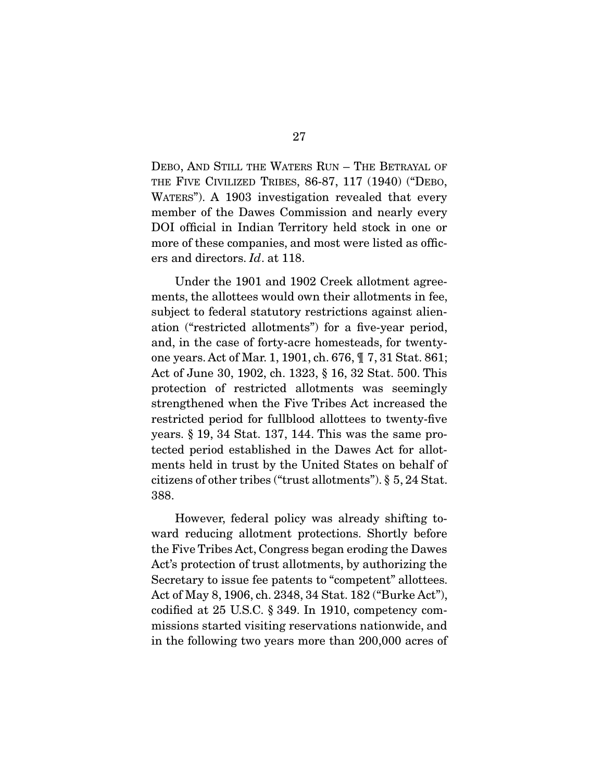DEBO, AND STILL THE WATERS RUN – THE BETRAYAL OF THE FIVE CIVILIZED TRIBES, 86-87, 117 (1940) ("DEBO, WATERS"). A 1903 investigation revealed that every member of the Dawes Commission and nearly every DOI official in Indian Territory held stock in one or more of these companies, and most were listed as officers and directors. *Id*. at 118.

 Under the 1901 and 1902 Creek allotment agreements, the allottees would own their allotments in fee, subject to federal statutory restrictions against alienation ("restricted allotments") for a five-year period, and, in the case of forty-acre homesteads, for twentyone years. Act of Mar. 1, 1901, ch. 676, ¶ 7, 31 Stat. 861; Act of June 30, 1902, ch. 1323, § 16, 32 Stat. 500. This protection of restricted allotments was seemingly strengthened when the Five Tribes Act increased the restricted period for fullblood allottees to twenty-five years. § 19, 34 Stat. 137, 144. This was the same protected period established in the Dawes Act for allotments held in trust by the United States on behalf of citizens of other tribes ("trust allotments"). § 5, 24 Stat. 388.

 However, federal policy was already shifting toward reducing allotment protections. Shortly before the Five Tribes Act, Congress began eroding the Dawes Act's protection of trust allotments, by authorizing the Secretary to issue fee patents to "competent" allottees. Act of May 8, 1906, ch. 2348, 34 Stat. 182 ("Burke Act"), codified at 25 U.S.C. § 349. In 1910, competency commissions started visiting reservations nationwide, and in the following two years more than 200,000 acres of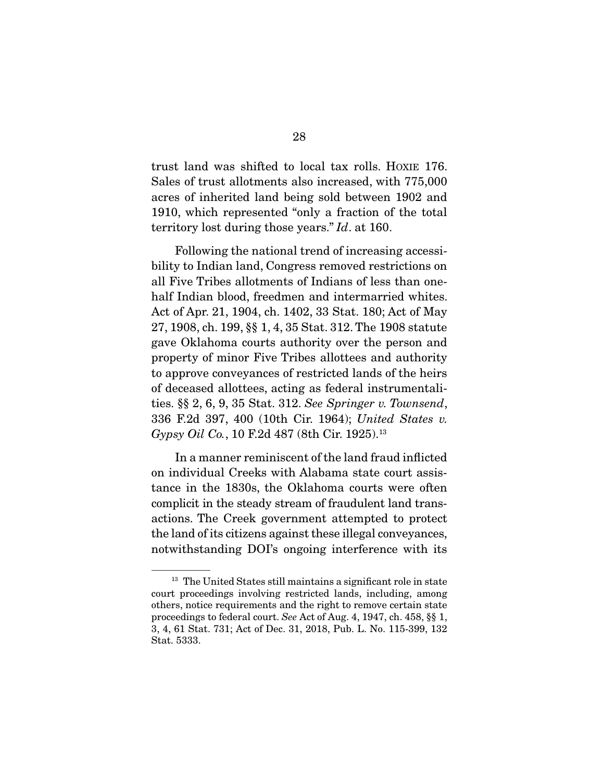trust land was shifted to local tax rolls. HOXIE 176. Sales of trust allotments also increased, with 775,000 acres of inherited land being sold between 1902 and 1910, which represented "only a fraction of the total territory lost during those years." *Id*. at 160.

 Following the national trend of increasing accessibility to Indian land, Congress removed restrictions on all Five Tribes allotments of Indians of less than onehalf Indian blood, freedmen and intermarried whites. Act of Apr. 21, 1904, ch. 1402, 33 Stat. 180; Act of May 27, 1908, ch. 199, §§ 1, 4, 35 Stat. 312. The 1908 statute gave Oklahoma courts authority over the person and property of minor Five Tribes allottees and authority to approve conveyances of restricted lands of the heirs of deceased allottees, acting as federal instrumentalities. §§ 2, 6, 9, 35 Stat. 312. *See Springer v. Townsend*, 336 F.2d 397, 400 (10th Cir. 1964); *United States v. Gypsy Oil Co.*, 10 F.2d 487 (8th Cir. 1925).<sup>13</sup>

 In a manner reminiscent of the land fraud inflicted on individual Creeks with Alabama state court assistance in the 1830s, the Oklahoma courts were often complicit in the steady stream of fraudulent land transactions. The Creek government attempted to protect the land of its citizens against these illegal conveyances, notwithstanding DOI's ongoing interference with its

<sup>&</sup>lt;sup>13</sup> The United States still maintains a significant role in state court proceedings involving restricted lands, including, among others, notice requirements and the right to remove certain state proceedings to federal court. *See* Act of Aug. 4, 1947, ch. 458, §§ 1, 3, 4, 61 Stat. 731; Act of Dec. 31, 2018, Pub. L. No. 115-399, 132 Stat. 5333.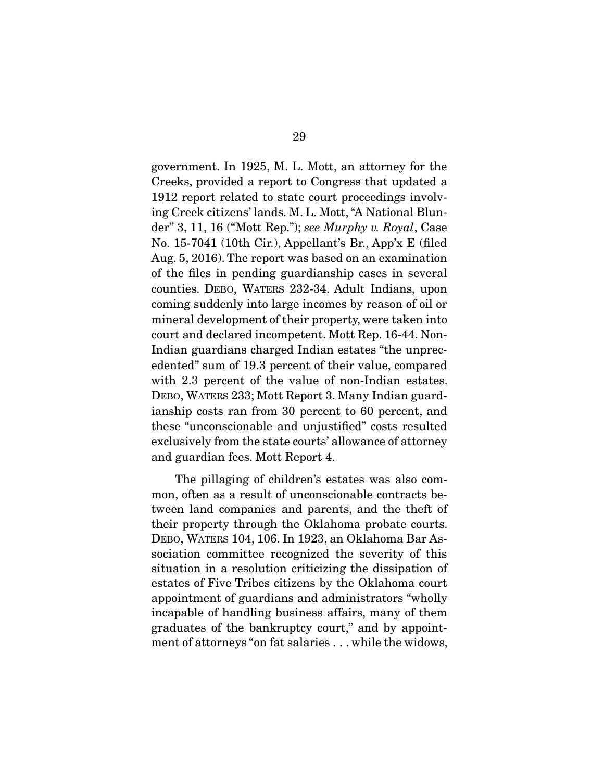government. In 1925, M. L. Mott, an attorney for the Creeks, provided a report to Congress that updated a 1912 report related to state court proceedings involving Creek citizens' lands. M. L. Mott, "A National Blunder" 3, 11, 16 ("Mott Rep."); *see Murphy v. Royal*, Case No. 15-7041 (10th Cir.), Appellant's Br., App'x E (filed Aug. 5, 2016). The report was based on an examination of the files in pending guardianship cases in several counties. DEBO, WATERS 232-34. Adult Indians, upon coming suddenly into large incomes by reason of oil or mineral development of their property, were taken into court and declared incompetent. Mott Rep. 16-44. Non-Indian guardians charged Indian estates "the unprecedented" sum of 19.3 percent of their value, compared with 2.3 percent of the value of non-Indian estates. DEBO, WATERS 233; Mott Report 3. Many Indian guardianship costs ran from 30 percent to 60 percent, and these "unconscionable and unjustified" costs resulted exclusively from the state courts' allowance of attorney and guardian fees. Mott Report 4.

 The pillaging of children's estates was also common, often as a result of unconscionable contracts between land companies and parents, and the theft of their property through the Oklahoma probate courts. DEBO, WATERS 104, 106. In 1923, an Oklahoma Bar Association committee recognized the severity of this situation in a resolution criticizing the dissipation of estates of Five Tribes citizens by the Oklahoma court appointment of guardians and administrators "wholly incapable of handling business affairs, many of them graduates of the bankruptcy court," and by appointment of attorneys "on fat salaries . . . while the widows,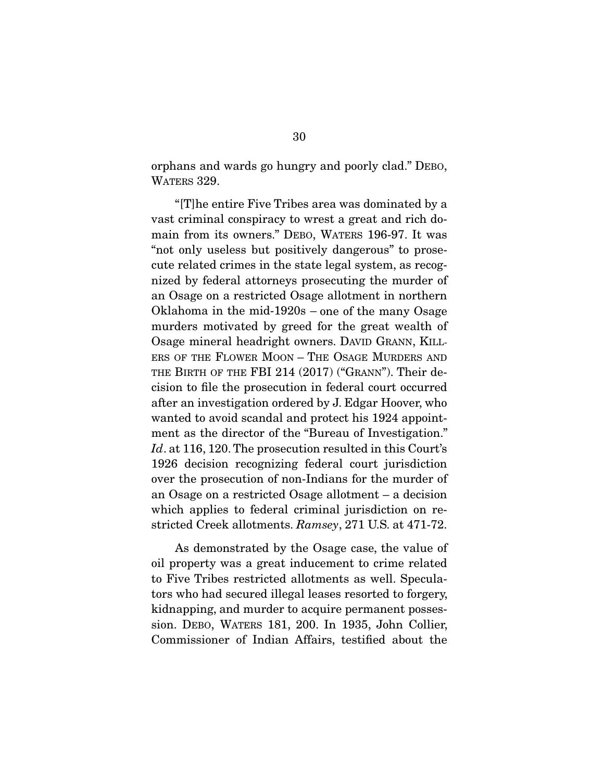orphans and wards go hungry and poorly clad." DEBO, WATERS 329.

 "[T]he entire Five Tribes area was dominated by a vast criminal conspiracy to wrest a great and rich domain from its owners." DEBO, WATERS 196-97. It was "not only useless but positively dangerous" to prosecute related crimes in the state legal system, as recognized by federal attorneys prosecuting the murder of an Osage on a restricted Osage allotment in northern Oklahoma in the mid-1920s – one of the many Osage murders motivated by greed for the great wealth of Osage mineral headright owners. DAVID GRANN, KILL-ERS OF THE FLOWER MOON – THE OSAGE MURDERS AND THE BIRTH OF THE FBI 214 (2017) ("GRANN"). Their decision to file the prosecution in federal court occurred after an investigation ordered by J. Edgar Hoover, who wanted to avoid scandal and protect his 1924 appointment as the director of the "Bureau of Investigation." *Id*. at 116, 120. The prosecution resulted in this Court's 1926 decision recognizing federal court jurisdiction over the prosecution of non-Indians for the murder of an Osage on a restricted Osage allotment – a decision which applies to federal criminal jurisdiction on restricted Creek allotments. *Ramsey*, 271 U.S. at 471-72.

 As demonstrated by the Osage case, the value of oil property was a great inducement to crime related to Five Tribes restricted allotments as well. Speculators who had secured illegal leases resorted to forgery, kidnapping, and murder to acquire permanent possession. DEBO, WATERS 181, 200. In 1935, John Collier, Commissioner of Indian Affairs, testified about the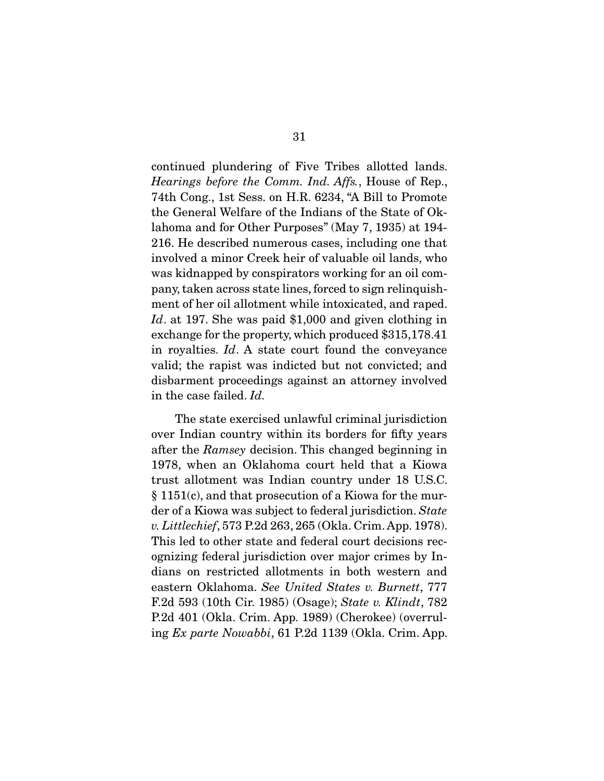continued plundering of Five Tribes allotted lands. *Hearings before the Comm. Ind. Affs.*, House of Rep., 74th Cong., 1st Sess. on H.R. 6234, "A Bill to Promote the General Welfare of the Indians of the State of Oklahoma and for Other Purposes" (May 7, 1935) at 194- 216. He described numerous cases, including one that involved a minor Creek heir of valuable oil lands, who was kidnapped by conspirators working for an oil company, taken across state lines, forced to sign relinquishment of her oil allotment while intoxicated, and raped. *Id*. at 197. She was paid \$1,000 and given clothing in exchange for the property, which produced \$315,178.41 in royalties. *Id*. A state court found the conveyance valid; the rapist was indicted but not convicted; and disbarment proceedings against an attorney involved in the case failed. *Id.*

 The state exercised unlawful criminal jurisdiction over Indian country within its borders for fifty years after the *Ramsey* decision. This changed beginning in 1978, when an Oklahoma court held that a Kiowa trust allotment was Indian country under 18 U.S.C. § 1151(c), and that prosecution of a Kiowa for the murder of a Kiowa was subject to federal jurisdiction. *State v. Littlechief*, 573 P.2d 263, 265 (Okla. Crim. App. 1978). This led to other state and federal court decisions recognizing federal jurisdiction over major crimes by Indians on restricted allotments in both western and eastern Oklahoma. *See United States v. Burnett*, 777 F.2d 593 (10th Cir. 1985) (Osage); *State v. Klindt*, 782 P.2d 401 (Okla. Crim. App. 1989) (Cherokee) (overruling *Ex parte Nowabbi*, 61 P.2d 1139 (Okla. Crim. App.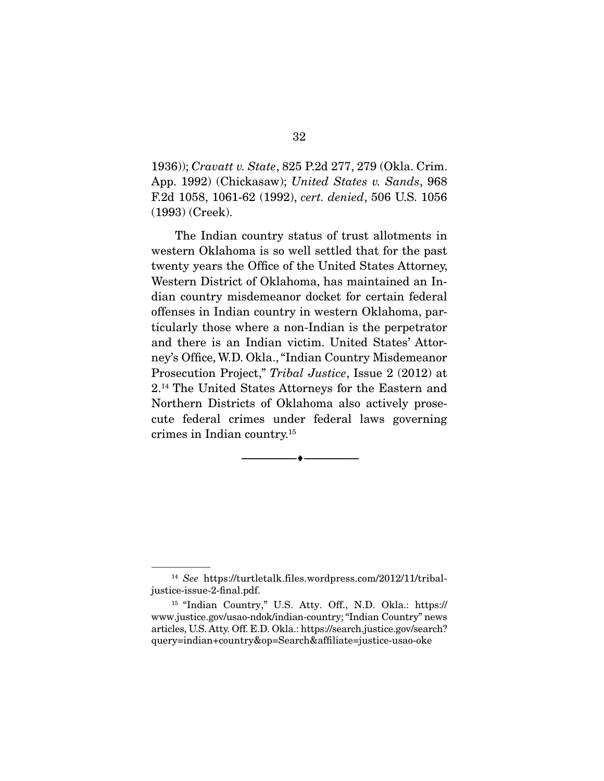1936)); *Cravatt v. State*, 825 P.2d 277, 279 (Okla. Crim. App. 1992) (Chickasaw); *United States v. Sands*, 968 F.2d 1058, 1061-62 (1992), *cert. denied*, 506 U.S. 1056 (1993) (Creek).

 The Indian country status of trust allotments in western Oklahoma is so well settled that for the past twenty years the Office of the United States Attorney, Western District of Oklahoma, has maintained an Indian country misdemeanor docket for certain federal offenses in Indian country in western Oklahoma, particularly those where a non-Indian is the perpetrator and there is an Indian victim. United States' Attorney's Office, W.D. Okla., "Indian Country Misdemeanor Prosecution Project," *Tribal Justice*, Issue 2 (2012) at 2.14 The United States Attorneys for the Eastern and Northern Districts of Oklahoma also actively prosecute federal crimes under federal laws governing crimes in Indian country.15

--------------------------------- ---------------------------------

<sup>14</sup> *See* https://turtletalk.files.wordpress.com/2012/11/tribaljustice-issue-2-final.pdf.

<sup>15</sup> "Indian Country," U.S. Atty. Off., N.D. Okla.: https:// www.justice.gov/usao-ndok/indian-country; "Indian Country" news articles, U.S. Atty. Off. E.D. Okla.: https://search.justice.gov/search? query=indian+country&op=Search&affiliate=justice-usao-oke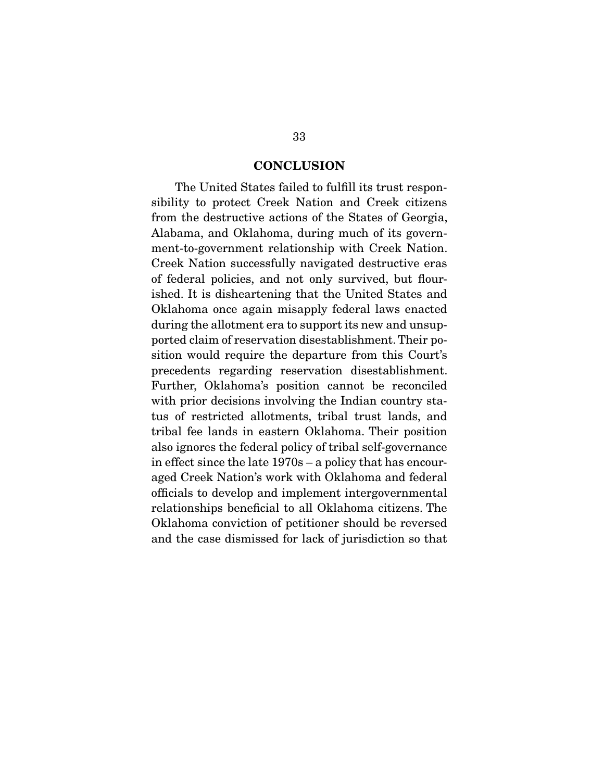#### **CONCLUSION**

 The United States failed to fulfill its trust responsibility to protect Creek Nation and Creek citizens from the destructive actions of the States of Georgia, Alabama, and Oklahoma, during much of its government-to-government relationship with Creek Nation. Creek Nation successfully navigated destructive eras of federal policies, and not only survived, but flourished. It is disheartening that the United States and Oklahoma once again misapply federal laws enacted during the allotment era to support its new and unsupported claim of reservation disestablishment. Their position would require the departure from this Court's precedents regarding reservation disestablishment. Further, Oklahoma's position cannot be reconciled with prior decisions involving the Indian country status of restricted allotments, tribal trust lands, and tribal fee lands in eastern Oklahoma. Their position also ignores the federal policy of tribal self-governance in effect since the late 1970s – a policy that has encouraged Creek Nation's work with Oklahoma and federal officials to develop and implement intergovernmental relationships beneficial to all Oklahoma citizens. The Oklahoma conviction of petitioner should be reversed and the case dismissed for lack of jurisdiction so that